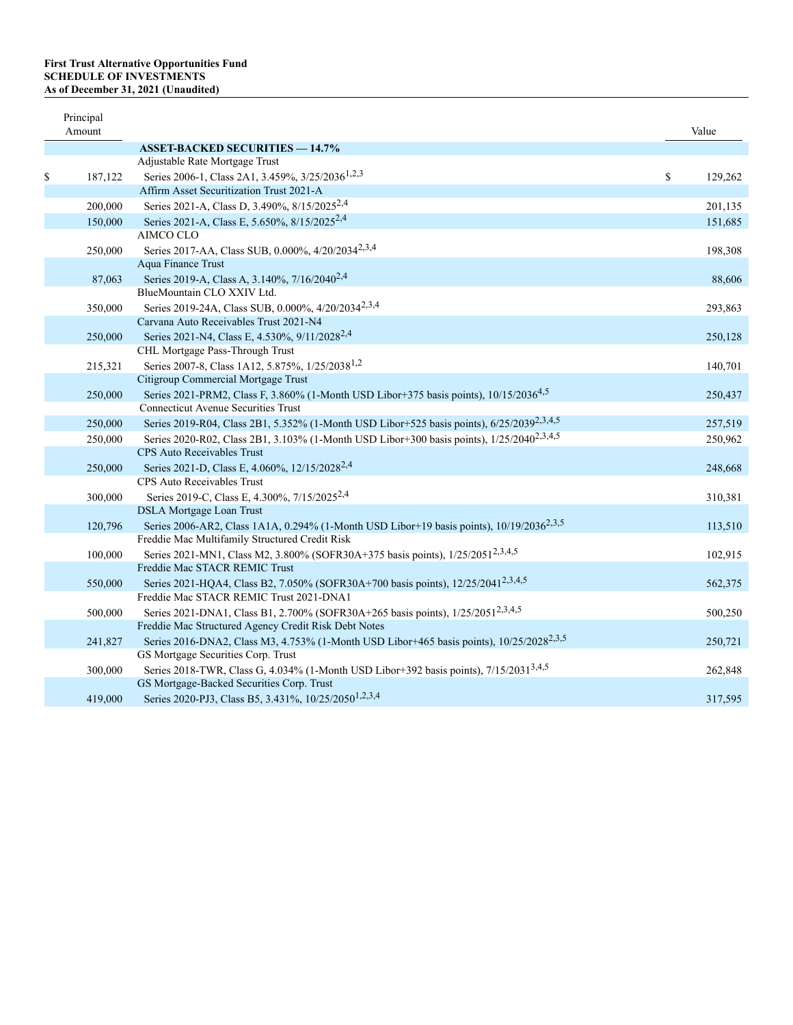## **First Trust Alternative Opportunities Fund SCHEDULE OF INVESTMENTS As of December 31, 2021 (Unaudited)**

| Principal<br>Amount |                                                                                                                                                        | Value         |
|---------------------|--------------------------------------------------------------------------------------------------------------------------------------------------------|---------------|
|                     | <b>ASSET-BACKED SECURITIES - 14.7%</b>                                                                                                                 |               |
|                     | Adjustable Rate Mortgage Trust                                                                                                                         |               |
| \$<br>187,122       | Series 2006-1, Class 2A1, 3.459%, 3/25/2036 <sup>1,2,3</sup>                                                                                           | \$<br>129,262 |
|                     | Affirm Asset Securitization Trust 2021-A                                                                                                               |               |
| 200,000             | Series 2021-A, Class D, 3.490%, 8/15/2025 <sup>2,4</sup>                                                                                               | 201,135       |
| 150,000             | Series 2021-A, Class E, 5.650%, 8/15/2025 <sup>2,4</sup>                                                                                               | 151,685       |
|                     | AIMCO CLO                                                                                                                                              |               |
| 250,000             | Series 2017-AA, Class SUB, 0.000%, 4/20/2034 <sup>2,3,4</sup>                                                                                          | 198,308       |
|                     | Aqua Finance Trust                                                                                                                                     |               |
| 87,063              | Series 2019-A, Class A, 3.140%, 7/16/2040 <sup>2,4</sup>                                                                                               | 88,606        |
|                     | BlueMountain CLO XXIV Ltd.                                                                                                                             |               |
| 350,000             | Series 2019-24A, Class SUB, 0.000%, 4/20/2034 <sup>2,3,4</sup>                                                                                         | 293,863       |
|                     | Carvana Auto Receivables Trust 2021-N4                                                                                                                 |               |
| 250,000             | Series 2021-N4, Class E, 4.530%, 9/11/2028 <sup>2,4</sup>                                                                                              | 250,128       |
|                     | CHL Mortgage Pass-Through Trust                                                                                                                        |               |
| 215,321             | Series 2007-8, Class 1A12, 5.875%, 1/25/2038 <sup>1,2</sup>                                                                                            | 140,701       |
|                     | Citigroup Commercial Mortgage Trust                                                                                                                    |               |
| 250,000             | Series 2021-PRM2, Class F, 3.860% (1-Month USD Libor+375 basis points), 10/15/2036 <sup>4,5</sup>                                                      | 250,437       |
|                     | <b>Connecticut Avenue Securities Trust</b>                                                                                                             |               |
| 250,000             | Series 2019-R04, Class 2B1, 5.352% (1-Month USD Libor+525 basis points), 6/25/2039 <sup>2,3,4,5</sup>                                                  | 257,519       |
| 250,000             | Series 2020-R02, Class 2B1, 3.103% (1-Month USD Libor+300 basis points), 1/25/2040 <sup>2,3,4,5</sup>                                                  | 250,962       |
|                     | CPS Auto Receivables Trust                                                                                                                             |               |
| 250,000             | Series 2021-D, Class E, 4.060%, 12/15/2028 <sup>2,4</sup>                                                                                              | 248,668       |
|                     | CPS Auto Receivables Trust                                                                                                                             |               |
| 300,000             | Series 2019-C, Class E, 4.300%, 7/15/2025 <sup>2,4</sup>                                                                                               | 310,381       |
|                     | <b>DSLA</b> Mortgage Loan Trust                                                                                                                        |               |
| 120,796             | Series 2006-AR2, Class 1A1A, 0.294% (1-Month USD Libor+19 basis points), 10/19/2036 <sup>2,3,5</sup><br>Freddie Mac Multifamily Structured Credit Risk | 113,510       |
|                     |                                                                                                                                                        |               |
| 100,000             | Series 2021-MN1, Class M2, 3.800% (SOFR30A+375 basis points), 1/25/2051 <sup>2,3,4,5</sup><br>Freddie Mac STACR REMIC Trust                            | 102,915       |
| 550,000             | Series 2021-HQA4, Class B2, 7.050% (SOFR30A+700 basis points), 12/25/2041 <sup>2,3,4,5</sup>                                                           | 562,375       |
|                     | Freddie Mac STACR REMIC Trust 2021-DNA1                                                                                                                |               |
| 500,000             | Series 2021-DNA1, Class B1, 2.700% (SOFR30A+265 basis points), 1/25/2051 <sup>2,3,4,5</sup>                                                            | 500,250       |
|                     | Freddie Mac Structured Agency Credit Risk Debt Notes                                                                                                   |               |
| 241,827             | Series 2016-DNA2, Class M3, 4.753% (1-Month USD Libor+465 basis points), 10/25/2028 <sup>2,3,5</sup>                                                   | 250,721       |
|                     | GS Mortgage Securities Corp. Trust                                                                                                                     |               |
| 300,000             | Series 2018-TWR, Class G, 4.034% (1-Month USD Libor+392 basis points), 7/15/2031 <sup>3,4,5</sup>                                                      | 262,848       |
|                     | GS Mortgage-Backed Securities Corp. Trust                                                                                                              |               |
| 419,000             | Series 2020-PJ3, Class B5, 3.431%, 10/25/2050 <sup>1,2,3,4</sup>                                                                                       | 317,595       |
|                     |                                                                                                                                                        |               |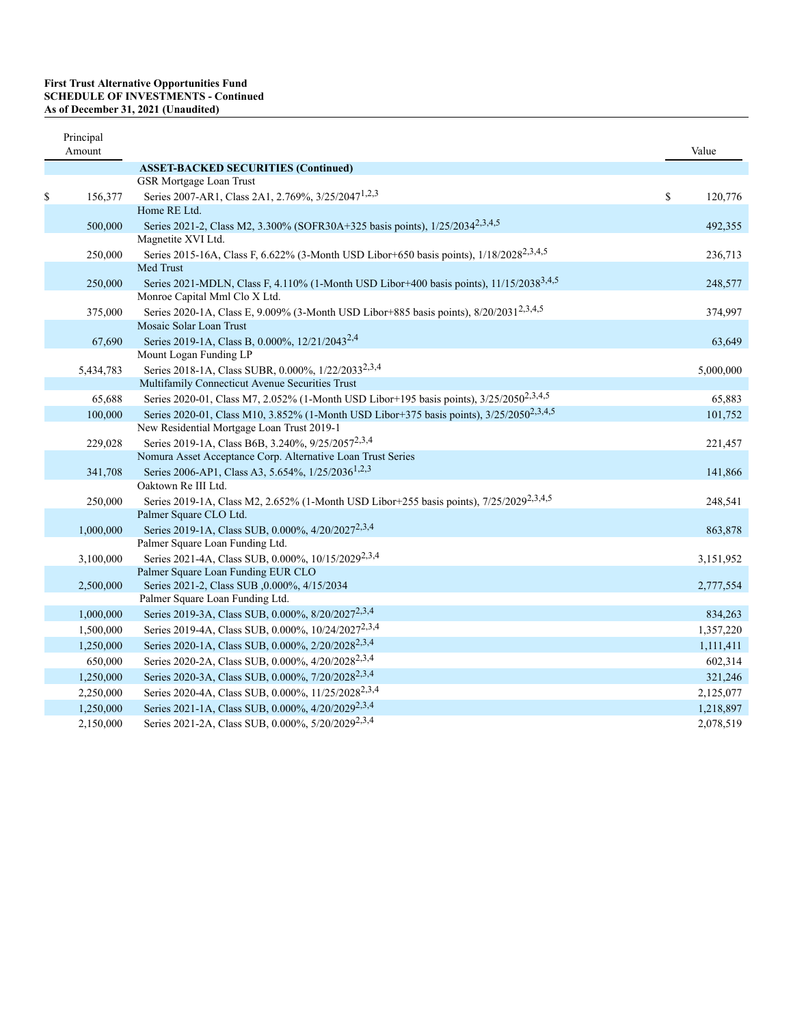| Principal<br>Amount |                                                                                                                              | Value         |
|---------------------|------------------------------------------------------------------------------------------------------------------------------|---------------|
|                     | <b>ASSET-BACKED SECURITIES (Continued)</b>                                                                                   |               |
|                     | <b>GSR Mortgage Loan Trust</b>                                                                                               |               |
| \$<br>156,377       | Series 2007-AR1, Class 2A1, 2.769%, 3/25/2047 <sup>1,2,3</sup>                                                               | \$<br>120,776 |
|                     | Home RE Ltd.                                                                                                                 |               |
| 500,000             | Series 2021-2, Class M2, 3.300% (SOFR30A+325 basis points), 1/25/2034 <sup>2,3,4,5</sup>                                     | 492,355       |
|                     | Magnetite XVI Ltd.                                                                                                           |               |
| 250,000             | Series 2015-16A, Class F, 6.622% (3-Month USD Libor+650 basis points), 1/18/2028 <sup>2,3,4,5</sup><br>Med Trust             | 236,713       |
| 250,000             | Series 2021-MDLN, Class F, 4.110% (1-Month USD Libor+400 basis points), 11/15/2038 <sup>3,4,5</sup>                          | 248,577       |
|                     | Monroe Capital Mml Clo X Ltd.                                                                                                |               |
| 375,000             | Series 2020-1A, Class E, 9.009% (3-Month USD Libor+885 basis points), 8/20/2031 <sup>2,3,4,5</sup>                           | 374,997       |
|                     | Mosaic Solar Loan Trust                                                                                                      |               |
| 67,690              | Series 2019-1A, Class B, 0.000%, 12/21/2043 <sup>2,4</sup>                                                                   | 63,649        |
|                     | Mount Logan Funding LP                                                                                                       |               |
| 5,434,783           | Series 2018-1A, Class SUBR, 0.000%, 1/22/2033 <sup>2,3,4</sup>                                                               | 5,000,000     |
|                     | Multifamily Connecticut Avenue Securities Trust                                                                              |               |
| 65,688              | Series 2020-01, Class M7, 2.052% (1-Month USD Libor+195 basis points), 3/25/2050 <sup>2,3,4,5</sup>                          | 65,883        |
| 100,000             | Series 2020-01, Class M10, 3.852% (1-Month USD Libor+375 basis points), 3/25/2050 <sup>2,3,4,5</sup>                         | 101,752       |
|                     | New Residential Mortgage Loan Trust 2019-1                                                                                   |               |
| 229,028             | Series 2019-1A, Class B6B, 3.240%, 9/25/2057 <sup>2,3,4</sup>                                                                | 221,457       |
|                     | Nomura Asset Acceptance Corp. Alternative Loan Trust Series<br>Series 2006-AP1, Class A3, 5.654%, 1/25/2036 <sup>1,2,3</sup> |               |
| 341,708             | Oaktown Re III Ltd.                                                                                                          | 141,866       |
| 250,000             | Series 2019-1A, Class M2, 2.652% (1-Month USD Libor+255 basis points), 7/25/2029 <sup>2,3,4,5</sup>                          | 248,541       |
|                     | Palmer Square CLO Ltd.                                                                                                       |               |
| 1,000,000           | Series 2019-1A, Class SUB, 0.000%, 4/20/2027 <sup>2,3,4</sup>                                                                | 863,878       |
|                     | Palmer Square Loan Funding Ltd.                                                                                              |               |
| 3,100,000           | Series 2021-4A, Class SUB, 0.000%, 10/15/2029 <sup>2,3,4</sup>                                                               | 3,151,952     |
|                     | Palmer Square Loan Funding EUR CLO                                                                                           |               |
| 2,500,000           | Series 2021-2, Class SUB ,0.000%, 4/15/2034                                                                                  | 2,777,554     |
|                     | Palmer Square Loan Funding Ltd.                                                                                              |               |
| 1,000,000           | Series 2019-3A, Class SUB, 0.000%, 8/20/2027 <sup>2,3,4</sup>                                                                | 834,263       |
| 1,500,000           | Series 2019-4A, Class SUB, 0.000%, 10/24/2027 <sup>2,3,4</sup>                                                               | 1,357,220     |
| 1,250,000           | Series 2020-1A, Class SUB, 0.000%, 2/20/2028 <sup>2,3,4</sup>                                                                | 1,111,411     |
| 650,000             | Series 2020-2A, Class SUB, 0.000%, 4/20/2028 <sup>2,3,4</sup>                                                                | 602,314       |
| 1,250,000           | Series 2020-3A, Class SUB, 0.000%, 7/20/2028 <sup>2,3,4</sup>                                                                | 321,246       |
| 2,250,000           | Series 2020-4A, Class SUB, 0.000%, 11/25/2028 <sup>2,3,4</sup>                                                               | 2,125,077     |
| 1,250,000           | Series 2021-1A, Class SUB, 0.000%, 4/20/2029 <sup>2,3,4</sup>                                                                | 1,218,897     |
| 2,150,000           | Series 2021-2A, Class SUB, 0.000%, 5/20/2029 <sup>2,3,4</sup>                                                                | 2,078,519     |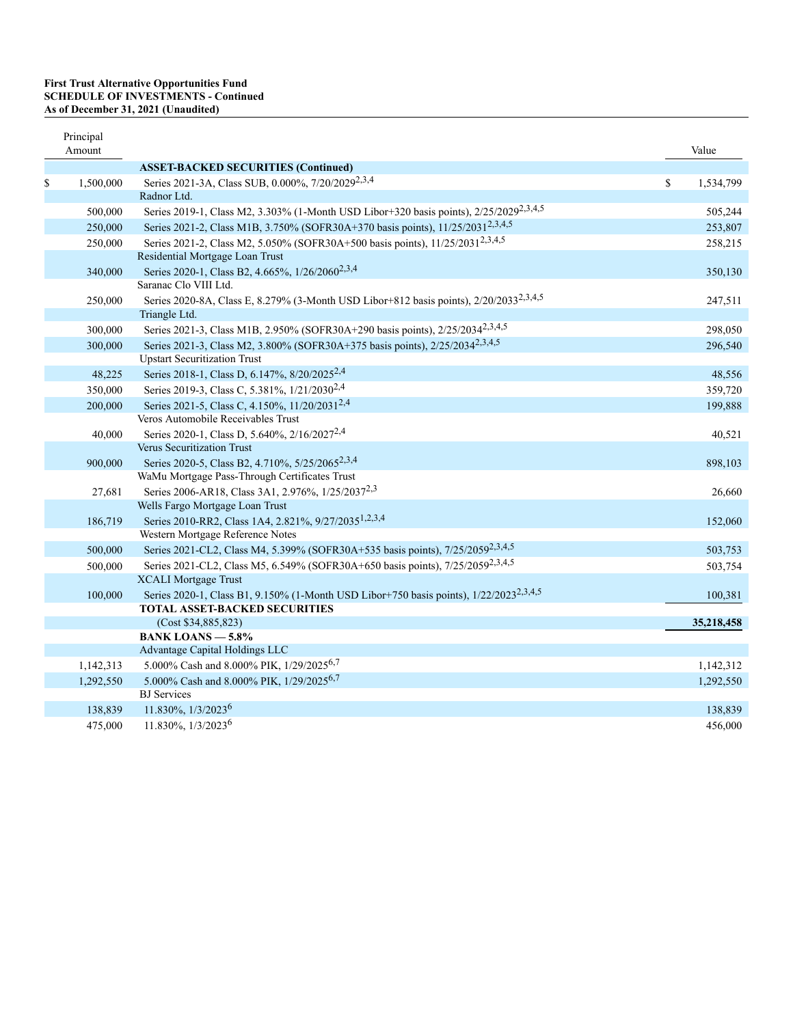### **First Trust Alternative Opportunities Fund SCHEDULE OF INVESTMENTS - Continued As of December 31, 2021 (Unaudited)**

| Principal<br>Amount |                                                                                                    | Value           |
|---------------------|----------------------------------------------------------------------------------------------------|-----------------|
|                     | <b>ASSET-BACKED SECURITIES (Continued)</b>                                                         |                 |
| \$<br>1,500,000     | Series 2021-3A, Class SUB, 0.000%, 7/20/2029 <sup>2,3,4</sup>                                      | \$<br>1,534,799 |
|                     | Radnor Ltd.                                                                                        |                 |
| 500,000             | Series 2019-1, Class M2, 3.303% (1-Month USD Libor+320 basis points), 2/25/2029 <sup>2,3,4,5</sup> | 505,244         |
| 250,000             | Series 2021-2, Class M1B, 3.750% (SOFR30A+370 basis points), 11/25/2031 <sup>2,3,4,5</sup>         | 253,807         |
| 250,000             | Series 2021-2, Class M2, 5.050% (SOFR30A+500 basis points), 11/25/2031 <sup>2,3,4,5</sup>          | 258,215         |
|                     | Residential Mortgage Loan Trust                                                                    |                 |
| 340,000             | Series 2020-1, Class B2, 4.665%, 1/26/2060 <sup>2,3,4</sup>                                        | 350,130         |
|                     | Saranac Clo VIII Ltd.                                                                              |                 |
| 250,000             | Series 2020-8A, Class E, 8.279% (3-Month USD Libor+812 basis points), 2/20/2033 <sup>2,3,4,5</sup> | 247,511         |
|                     | Triangle Ltd.                                                                                      |                 |
| 300,000             | Series 2021-3, Class M1B, 2.950% (SOFR30A+290 basis points), 2/25/2034 <sup>2,3,4,5</sup>          | 298,050         |
| 300,000             | Series 2021-3, Class M2, 3.800% (SOFR30A+375 basis points), 2/25/2034 <sup>2,3,4,5</sup>           | 296,540         |
|                     | <b>Upstart Securitization Trust</b>                                                                |                 |
| 48,225              | Series 2018-1, Class D, 6.147%, 8/20/2025 <sup>2,4</sup>                                           | 48,556          |
| 350,000             | Series 2019-3, Class C, 5.381%, 1/21/2030 <sup>2,4</sup>                                           | 359,720         |
| 200,000             | Series 2021-5, Class C, 4.150%, 11/20/2031 <sup>2,4</sup>                                          | 199,888         |
|                     | Veros Automobile Receivables Trust                                                                 |                 |
| 40,000              | Series 2020-1, Class D, 5.640%, 2/16/2027 <sup>2,4</sup>                                           | 40,521          |
|                     | <b>Verus Securitization Trust</b>                                                                  |                 |
| 900,000             | Series 2020-5, Class B2, 4.710%, 5/25/2065 <sup>2,3,4</sup>                                        | 898,103         |
|                     | WaMu Mortgage Pass-Through Certificates Trust                                                      |                 |
| 27,681              | Series 2006-AR18, Class 3A1, 2.976%, 1/25/2037 <sup>2,3</sup><br>Wells Fargo Mortgage Loan Trust   | 26,660          |
| 186,719             | Series 2010-RR2, Class 1A4, 2.821%, 9/27/2035 <sup>1,2,3,4</sup>                                   | 152,060         |
|                     | Western Mortgage Reference Notes                                                                   |                 |
| 500,000             | Series 2021-CL2, Class M4, 5.399% (SOFR30A+535 basis points), 7/25/2059 <sup>2,3,4,5</sup>         | 503,753         |
| 500,000             | Series 2021-CL2, Class M5, 6.549% (SOFR30A+650 basis points), 7/25/2059 <sup>2,3,4,5</sup>         | 503,754         |
|                     | <b>XCALI</b> Mortgage Trust                                                                        |                 |
| 100,000             | Series 2020-1, Class B1, 9.150% (1-Month USD Libor+750 basis points), 1/22/2023 <sup>2,3,4,5</sup> | 100,381         |
|                     | <b>TOTAL ASSET-BACKED SECURITIES</b>                                                               |                 |
|                     | (Cost \$34,885,823)                                                                                | 35,218,458      |
|                     | <b>BANK LOANS - 5.8%</b>                                                                           |                 |
|                     | Advantage Capital Holdings LLC                                                                     |                 |
| 1,142,313           | 5.000% Cash and 8.000% PIK, 1/29/2025 <sup>6,7</sup>                                               | 1,142,312       |
| 1,292,550           | 5.000% Cash and 8.000% PIK, 1/29/20256,7                                                           | 1,292,550       |
|                     | <b>BJ</b> Services                                                                                 |                 |
| 138,839             | 11.830%, 1/3/2023 <sup>6</sup>                                                                     | 138,839         |
| 475,000             | 11.830%, 1/3/2023 <sup>6</sup>                                                                     | 456,000         |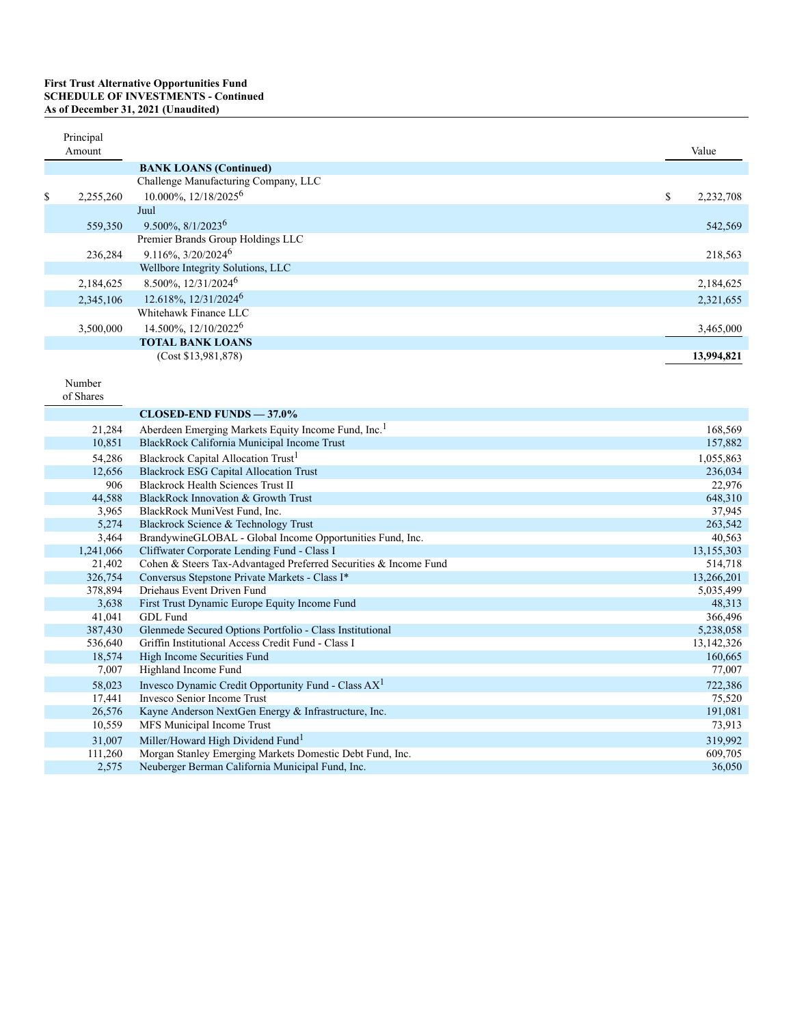# **First Trust Alternative Opportunities Fund<br>SCHEDULE OF INVESTMENTS - Continued<br>As of December 31, 2021 (Unaudited)**

| Principal<br>Amount |                                      | Value           |
|---------------------|--------------------------------------|-----------------|
|                     | <b>BANK LOANS (Continued)</b>        |                 |
|                     | Challenge Manufacturing Company, LLC |                 |
| \$<br>2,255,260     | 10.000%, 12/18/2025 <sup>6</sup>     | \$<br>2,232,708 |
|                     | Juul                                 |                 |
| 559,350             | $9.500\%, 8/1/2023^6$                | 542,569         |
|                     | Premier Brands Group Holdings LLC    |                 |
| 236,284             | $9.116\%, \frac{3}{20}/2024^6$       | 218,563         |
|                     | Wellbore Integrity Solutions, LLC    |                 |
| 2,184,625           | 8.500%, 12/31/2024 <sup>6</sup>      | 2,184,625       |
| 2,345,106           | 12.618%, 12/31/2024 <sup>6</sup>     | 2,321,655       |
|                     | Whitehawk Finance LLC                |                 |
| 3,500,000           | 14.500%, 12/10/2022 <sup>6</sup>     | 3,465,000       |
|                     | <b>TOTAL BANK LOANS</b>              |                 |
|                     | (Cost \$13,981,878)                  | 13,994,821      |

Number

|  | of Shares |
|--|-----------|
|--|-----------|

|           | $CLOSED-END$ FUNDS $-37.0\%$                                     |              |
|-----------|------------------------------------------------------------------|--------------|
| 21,284    | Aberdeen Emerging Markets Equity Income Fund, Inc. <sup>1</sup>  | 168,569      |
| 10,851    | BlackRock California Municipal Income Trust                      | 157,882      |
| 54,286    | Blackrock Capital Allocation Trust <sup>1</sup>                  | 1,055,863    |
| 12,656    | <b>Blackrock ESG Capital Allocation Trust</b>                    | 236,034      |
| 906       | <b>Blackrock Health Sciences Trust II</b>                        | 22,976       |
| 44,588    | BlackRock Innovation & Growth Trust                              | 648,310      |
| 3,965     | BlackRock MuniVest Fund, Inc.                                    | 37,945       |
| 5,274     | Blackrock Science & Technology Trust                             | 263,542      |
| 3,464     | BrandywineGLOBAL - Global Income Opportunities Fund, Inc.        | 40,563       |
| 1,241,066 | Cliffwater Corporate Lending Fund - Class I                      | 13,155,303   |
| 21,402    | Cohen & Steers Tax-Advantaged Preferred Securities & Income Fund | 514,718      |
| 326,754   | Conversus Stepstone Private Markets - Class I*                   | 13,266,201   |
| 378,894   | Driehaus Event Driven Fund                                       | 5,035,499    |
| 3,638     | First Trust Dynamic Europe Equity Income Fund                    | 48,313       |
| 41,041    | GDL Fund                                                         | 366,496      |
| 387,430   | Glenmede Secured Options Portfolio - Class Institutional         | 5,238,058    |
| 536,640   | Griffin Institutional Access Credit Fund - Class I               | 13, 142, 326 |
| 18,574    | High Income Securities Fund                                      | 160,665      |
| 7,007     | Highland Income Fund                                             | 77,007       |
| 58,023    | Invesco Dynamic Credit Opportunity Fund - Class AX <sup>1</sup>  | 722,386      |
| 17,441    | <b>Invesco Senior Income Trust</b>                               | 75,520       |
| 26,576    | Kayne Anderson NextGen Energy & Infrastructure, Inc.             | 191,081      |
| 10,559    | MFS Municipal Income Trust                                       | 73,913       |
| 31,007    | Miller/Howard High Dividend Fund <sup>1</sup>                    | 319,992      |
| 111,260   | Morgan Stanley Emerging Markets Domestic Debt Fund, Inc.         | 609,705      |
| 2,575     | Neuberger Berman California Municipal Fund, Inc.                 | 36,050       |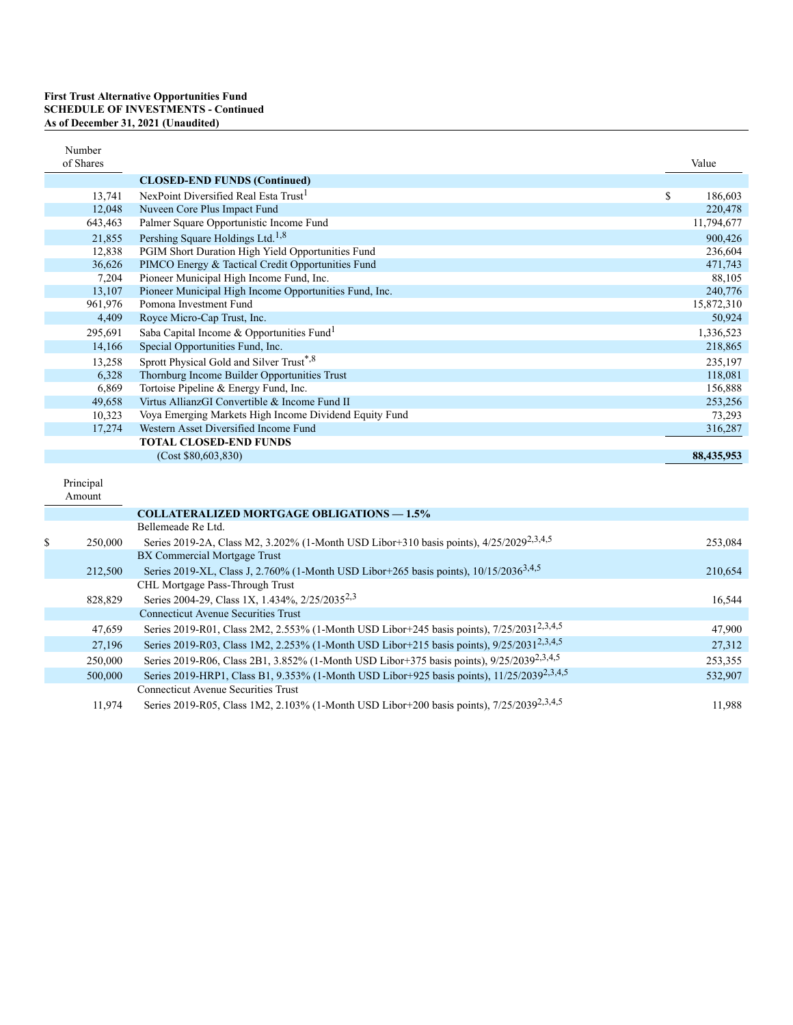### **First Trust Alternative Opportunities Fund SCHEDULE OF INVESTMENTS - Continued As of December 31, 2021 (Unaudited)**

| Number<br>of Shares |                                                                                                       | Value         |
|---------------------|-------------------------------------------------------------------------------------------------------|---------------|
|                     | <b>CLOSED-END FUNDS (Continued)</b>                                                                   |               |
| 13,741              | NexPoint Diversified Real Esta Trust <sup>1</sup>                                                     | \$<br>186,603 |
| 12,048              | Nuveen Core Plus Impact Fund                                                                          | 220,478       |
| 643,463             | Palmer Square Opportunistic Income Fund                                                               | 11,794,677    |
| 21,855              | Pershing Square Holdings Ltd. <sup>1,8</sup>                                                          | 900,426       |
| 12,838              | PGIM Short Duration High Yield Opportunities Fund                                                     | 236.604       |
| 36,626              | PIMCO Energy & Tactical Credit Opportunities Fund                                                     | 471,743       |
| 7,204               | Pioneer Municipal High Income Fund, Inc.                                                              | 88,105        |
| 13,107              | Pioneer Municipal High Income Opportunities Fund, Inc.                                                | 240,776       |
| 961,976             | Pomona Investment Fund                                                                                | 15,872,310    |
| 4,409               | Royce Micro-Cap Trust, Inc.                                                                           | 50,924        |
| 295,691             | Saba Capital Income & Opportunities Fund <sup>1</sup>                                                 | 1,336,523     |
| 14,166              | Special Opportunities Fund, Inc.                                                                      | 218,865       |
| 13,258              | Sprott Physical Gold and Silver Trust*,8                                                              | 235,197       |
| 6,328               | Thornburg Income Builder Opportunities Trust                                                          | 118,081       |
| 6,869               | Tortoise Pipeline & Energy Fund, Inc.                                                                 | 156,888       |
| 49,658              | Virtus AllianzGI Convertible & Income Fund II                                                         | 253,256       |
| 10,323              | Voya Emerging Markets High Income Dividend Equity Fund                                                | 73,293        |
| 17,274              | Western Asset Diversified Income Fund                                                                 | 316,287       |
|                     | <b>TOTAL CLOSED-END FUNDS</b>                                                                         |               |
|                     | (Cost \$80,603,830)                                                                                   | 88,435,953    |
| Principal<br>Amount |                                                                                                       |               |
|                     | <b>COLLATERALIZED MORTGAGE OBLIGATIONS - 1.5%</b>                                                     |               |
|                     | Bellemeade Re Ltd.                                                                                    |               |
| \$<br>250,000       | Series 2019-2A, Class M2, 3.202% (1-Month USD Libor+310 basis points), 4/25/2029 <sup>2,3,4,5</sup>   | 253,084       |
|                     | BX Commercial Mortgage Trust                                                                          |               |
| 212,500             | Series 2019-XL, Class J, 2.760% (1-Month USD Libor+265 basis points), 10/15/2036 <sup>3,4,5</sup>     | 210,654       |
|                     | CHL Mortgage Pass-Through Trust                                                                       |               |
| 828,829             | Series 2004-29, Class 1X, 1.434%, 2/25/2035 <sup>2,3</sup>                                            | 16,544        |
|                     | <b>Connecticut Avenue Securities Trust</b>                                                            |               |
| 47,659              | Series 2019-R01, Class 2M2, 2.553% (1-Month USD Libor+245 basis points), 7/25/2031 <sup>2,3,4,5</sup> | 47,900        |
| 27,196              | Series 2019-R03, Class 1M2, 2.253% (1-Month USD Libor+215 basis points), 9/25/2031 <sup>2,3,4,5</sup> | 27,312        |
| 250,000             | Series 2019-R06, Class 2B1, 3.852% (1-Month USD Libor+375 basis points), 9/25/2039 <sup>2,3,4,5</sup> | 253,355       |

11,974 Connecticut Avenue Securities Trust Series 2019-R05, Class 1M2, 2.103% (1-Month USD Libor+200 basis points), 7/25/2039<sup>2,3,4,5</sup> 2,3,4,5 11,988

532,907

500,000 Series 2019-HRP1, Class B1, 9.353% (1-Month USD Libor+925 basis points), 11/25/2039<sup>2,3,4,5</sup>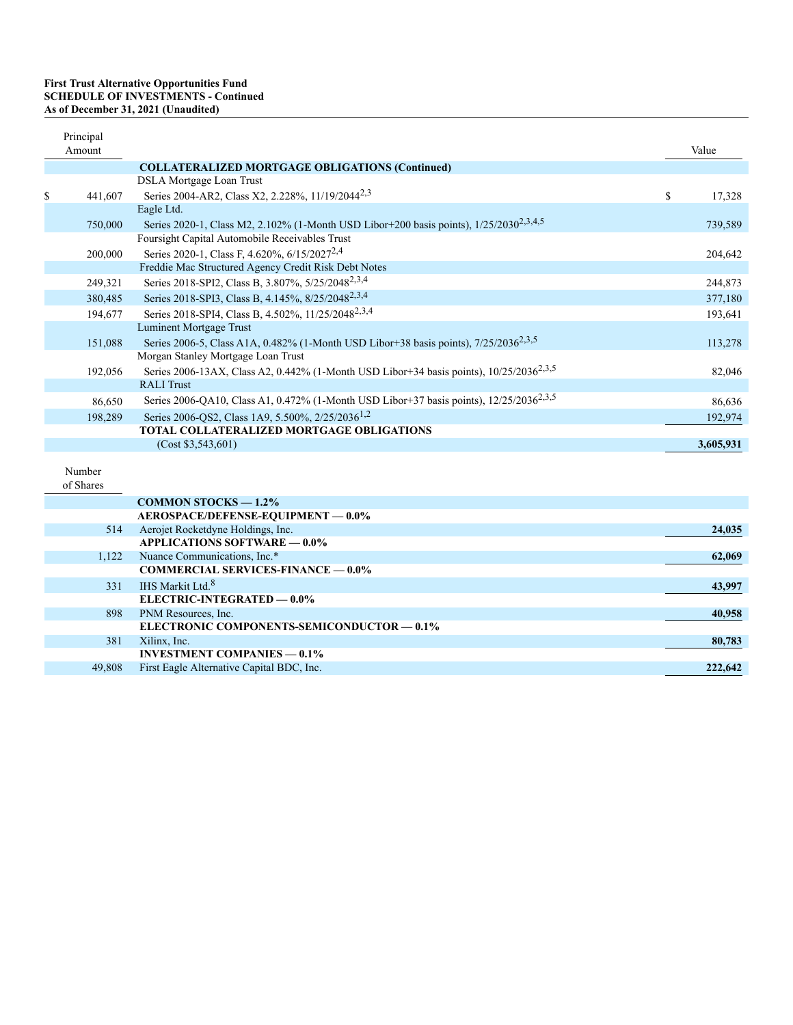| Principal<br>Amount |                                                                                                     | Value        |
|---------------------|-----------------------------------------------------------------------------------------------------|--------------|
|                     | <b>COLLATERALIZED MORTGAGE OBLIGATIONS (Continued)</b>                                              |              |
|                     | DSLA Mortgage Loan Trust                                                                            |              |
| \$<br>441,607       | Series 2004-AR2, Class X2, 2.228%, 11/19/2044 <sup>2,3</sup>                                        | \$<br>17,328 |
|                     | Eagle Ltd.                                                                                          |              |
| 750,000             | Series 2020-1, Class M2, 2.102% (1-Month USD Libor+200 basis points), 1/25/2030 <sup>2,3,4,5</sup>  | 739,589      |
|                     | Foursight Capital Automobile Receivables Trust                                                      |              |
| 200,000             | Series 2020-1, Class F, 4.620%, 6/15/2027 <sup>2,4</sup>                                            | 204,642      |
|                     | Freddie Mac Structured Agency Credit Risk Debt Notes                                                |              |
| 249,321             | Series 2018-SPI2, Class B, 3.807%, 5/25/2048 <sup>2,3,4</sup>                                       | 244,873      |
| 380,485             | Series 2018-SPI3, Class B, 4.145%, 8/25/2048 <sup>2,3,4</sup>                                       | 377,180      |
| 194,677             | Series 2018-SPI4, Class B, 4.502%, 11/25/2048 <sup>2,3,4</sup>                                      | 193,641      |
|                     | Luminent Mortgage Trust                                                                             |              |
| 151,088             | Series 2006-5, Class A1A, 0.482% (1-Month USD Libor+38 basis points), 7/25/2036 <sup>2,3,5</sup>    | 113,278      |
|                     | Morgan Stanley Mortgage Loan Trust                                                                  |              |
| 192,056             | Series 2006-13AX, Class A2, 0.442% (1-Month USD Libor+34 basis points), 10/25/2036 <sup>2,3,5</sup> | 82,046       |
|                     | <b>RALI</b> Trust                                                                                   |              |
| 86,650              | Series 2006-QA10, Class A1, 0.472% (1-Month USD Libor+37 basis points), 12/25/2036 <sup>2,3,5</sup> | 86,636       |
| 198,289             | Series 2006-QS2, Class 1A9, 5.500%, 2/25/2036 <sup>1,2</sup>                                        | 192,974      |
|                     | TOTAL COLLATERALIZED MORTGAGE OBLIGATIONS                                                           |              |
|                     | (Cost \$3,543,601)                                                                                  | 3,605,931    |
| Number<br>of Shares |                                                                                                     |              |

|        | <b>COMMON STOCKS <math>-1.2\%</math></b>   |         |
|--------|--------------------------------------------|---------|
|        | AEROSPACE/DEFENSE-EQUIPMENT - 0.0%         |         |
| 514    | Aerojet Rocketdyne Holdings, Inc.          | 24,035  |
|        | <b>APPLICATIONS SOFTWARE - 0.0%</b>        |         |
| 1.122  | Nuance Communications, Inc.*               | 62,069  |
|        | <b>COMMERCIAL SERVICES-FINANCE — 0.0%</b>  |         |
| 331    | IHS Markit Ltd. <sup>8</sup>               | 43,997  |
|        | ELECTRIC-INTEGRATED - 0.0%                 |         |
| 898    | PNM Resources, Inc.                        | 40,958  |
|        | ELECTRONIC COMPONENTS-SEMICONDUCTOR - 0.1% |         |
| 381    | Xilinx, Inc.                               | 80,783  |
|        | <b>INVESTMENT COMPANIES — 0.1%</b>         |         |
| 49,808 | First Eagle Alternative Capital BDC, Inc.  | 222,642 |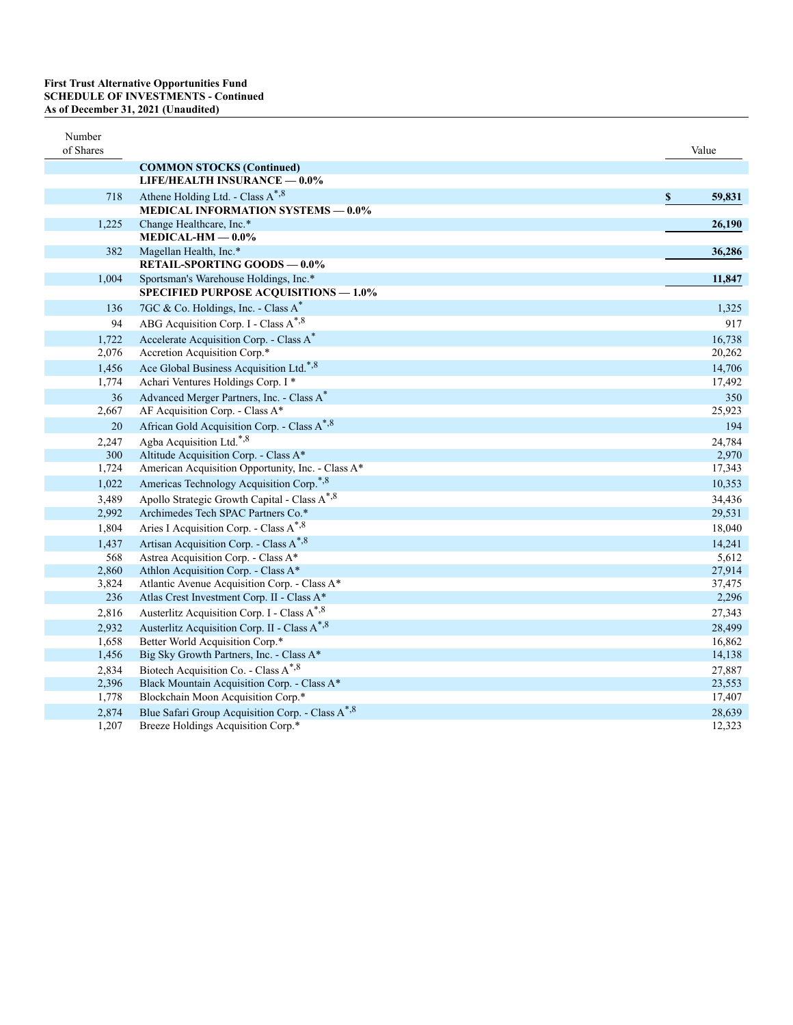| Number<br>of Shares |                                                              | Value                               |
|---------------------|--------------------------------------------------------------|-------------------------------------|
|                     | <b>COMMON STOCKS (Continued)</b>                             |                                     |
|                     | LIFE/HEALTH INSURANCE - 0.0%                                 |                                     |
| 718                 | Athene Holding Ltd. - Class A <sup>*,8</sup>                 | $\boldsymbol{\mathsf{s}}$<br>59,831 |
|                     | <b>MEDICAL INFORMATION SYSTEMS - 0.0%</b>                    |                                     |
| 1,225               | Change Healthcare, Inc.*                                     | 26,190                              |
|                     | MEDICAL-HM $-0.0\%$                                          |                                     |
| 382                 | Magellan Health, Inc.*                                       | 36,286                              |
|                     | <b>RETAIL-SPORTING GOODS - 0.0%</b>                          |                                     |
| 1,004               | Sportsman's Warehouse Holdings, Inc.*                        | 11,847                              |
|                     | <b>SPECIFIED PURPOSE ACQUISITIONS - 1.0%</b>                 |                                     |
| 136                 | 7GC & Co. Holdings, Inc. - Class A*                          | 1,325                               |
| 94                  | ABG Acquisition Corp. I - Class A <sup>*,8</sup>             | 917                                 |
| 1,722               | Accelerate Acquisition Corp. - Class A*                      | 16,738                              |
| 2,076               | Accretion Acquisition Corp.*                                 | 20,262                              |
| 1,456               | Ace Global Business Acquisition Ltd.*,8                      | 14,706                              |
| 1,774               | Achari Ventures Holdings Corp. I *                           | 17,492                              |
| 36                  | Advanced Merger Partners, Inc. - Class A <sup>*</sup>        | 350                                 |
| 2,667               | AF Acquisition Corp. - Class A*                              | 25,923                              |
| 20                  | African Gold Acquisition Corp. - Class A <sup>*,8</sup>      | 194                                 |
| 2,247               | Agba Acquisition Ltd.*,8                                     | 24,784                              |
| 300                 | Altitude Acquisition Corp. - Class A*                        | 2,970                               |
| 1,724               | American Acquisition Opportunity, Inc. - Class A*            | 17,343                              |
| 1,022               | Americas Technology Acquisition Corp. <sup>*,8</sup>         | 10,353                              |
| 3,489               | Apollo Strategic Growth Capital - Class A*, 8                | 34,436                              |
| 2,992               | Archimedes Tech SPAC Partners Co.*                           | 29,531                              |
| 1,804               | Aries I Acquisition Corp. - Class A*, 8                      | 18,040                              |
| 1,437               | Artisan Acquisition Corp. - Class A*, 8                      | 14,241                              |
| 568                 | Astrea Acquisition Corp. - Class A*                          | 5,612                               |
| 2,860               | Athlon Acquisition Corp. - Class A*                          | 27,914                              |
| 3,824               | Atlantic Avenue Acquisition Corp. - Class A*                 | 37,475                              |
| 236                 | Atlas Crest Investment Corp. II - Class A*                   | 2,296                               |
| 2,816               | Austerlitz Acquisition Corp. I - Class A*, 8                 | 27,343                              |
| 2,932               | Austerlitz Acquisition Corp. II - Class A <sup>*,8</sup>     | 28,499                              |
| 1,658               | Better World Acquisition Corp.*                              | 16,862                              |
| 1,456               | Big Sky Growth Partners, Inc. - Class A*                     | 14,138                              |
| 2,834               | Biotech Acquisition Co. - Class A <sup>*,8</sup>             | 27,887                              |
| 2,396               | Black Mountain Acquisition Corp. - Class A*                  | 23,553                              |
| 1,778               | Blockchain Moon Acquisition Corp.*                           | 17,407                              |
| 2,874               | Blue Safari Group Acquisition Corp. - Class A <sup>*,8</sup> | 28,639                              |
| 1,207               | Breeze Holdings Acquisition Corp.*                           | 12,323                              |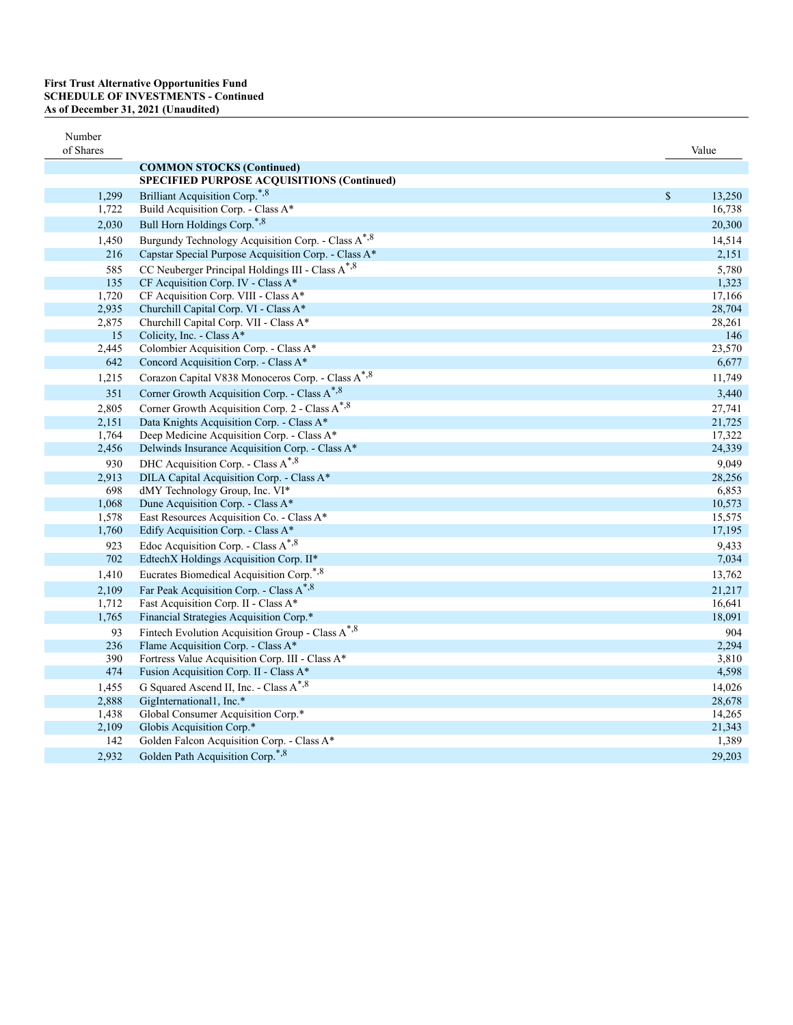| Number<br>of Shares |                                                              |               | Value  |
|---------------------|--------------------------------------------------------------|---------------|--------|
|                     | <b>COMMON STOCKS (Continued)</b>                             |               |        |
|                     | SPECIFIED PURPOSE ACQUISITIONS (Continued)                   |               |        |
| 1,299               | Brilliant Acquisition Corp. <sup>*,8</sup>                   | $\mathcal{S}$ | 13,250 |
| 1,722               | Build Acquisition Corp. - Class A*                           |               | 16,738 |
| 2,030               | Bull Horn Holdings Corp.*,8                                  |               | 20,300 |
| 1,450               | Burgundy Technology Acquisition Corp. - Class A*, 8          |               | 14,514 |
| 216                 | Capstar Special Purpose Acquisition Corp. - Class A*         |               | 2,151  |
| 585                 | CC Neuberger Principal Holdings III - Class A*, 8            |               | 5,780  |
| 135                 | CF Acquisition Corp. IV - Class A*                           |               | 1,323  |
| 1,720               | CF Acquisition Corp. VIII - Class A*                         |               | 17,166 |
| 2,935               | Churchill Capital Corp. VI - Class A*                        |               | 28,704 |
| 2,875               | Churchill Capital Corp. VII - Class A*                       |               | 28,261 |
| 15                  | Colicity, Inc. - Class A*                                    |               | 146    |
| 2,445               | Colombier Acquisition Corp. - Class A*                       |               | 23,570 |
| 642                 | Concord Acquisition Corp. - Class A*                         |               | 6,677  |
| 1,215               | Corazon Capital V838 Monoceros Corp. - Class A*, 8           |               | 11,749 |
| 351                 | Corner Growth Acquisition Corp. - Class A <sup>*,8</sup>     |               | 3,440  |
| 2,805               | Corner Growth Acquisition Corp. 2 - Class A <sup>*,8</sup>   |               | 27,741 |
| 2,151               | Data Knights Acquisition Corp. - Class A*                    |               | 21,725 |
| 1,764               | Deep Medicine Acquisition Corp. - Class A*                   |               | 17,322 |
| 2,456               | Delwinds Insurance Acquisition Corp. - Class A*              |               | 24,339 |
| 930                 | DHC Acquisition Corp. - Class A*, 8                          |               | 9,049  |
| 2,913               | DILA Capital Acquisition Corp. - Class A*                    |               | 28,256 |
| 698                 | dMY Technology Group, Inc. VI*                               |               | 6,853  |
| 1,068               | Dune Acquisition Corp. - Class A*                            |               | 10,573 |
| 1,578               | East Resources Acquisition Co. - Class A*                    |               | 15,575 |
| 1,760               | Edify Acquisition Corp. - Class A*                           |               | 17,195 |
| 923                 | Edoc Acquisition Corp. - Class A*,8                          |               | 9,433  |
| 702                 | EdtechX Holdings Acquisition Corp. II*                       |               | 7,034  |
| 1,410               | Eucrates Biomedical Acquisition Corp. <sup>*,8</sup>         |               | 13,762 |
| 2,109               | Far Peak Acquisition Corp. - Class A <sup>*,8</sup>          |               | 21,217 |
| 1,712               | Fast Acquisition Corp. II - Class A*                         |               | 16,641 |
| 1,765               | Financial Strategies Acquisition Corp.*                      |               | 18,091 |
| 93                  | Fintech Evolution Acquisition Group - Class A <sup>*,8</sup> |               | 904    |
| 236                 | Flame Acquisition Corp. - Class A*                           |               | 2,294  |
| 390                 | Fortress Value Acquisition Corp. III - Class A*              |               | 3,810  |
| 474                 | Fusion Acquisition Corp. II - Class A*                       |               | 4,598  |
| 1,455               | G Squared Ascend II, Inc. - Class A*, 8                      |               | 14.026 |
| 2,888               | GigInternational1, Inc.*                                     |               | 28,678 |
| 1,438               | Global Consumer Acquisition Corp.*                           |               | 14,265 |
| 2,109               | Globis Acquisition Corp.*                                    |               | 21,343 |
| 142                 | Golden Falcon Acquisition Corp. - Class A*                   |               | 1,389  |
| 2,932               | Golden Path Acquisition Corp.*,8                             |               | 29,203 |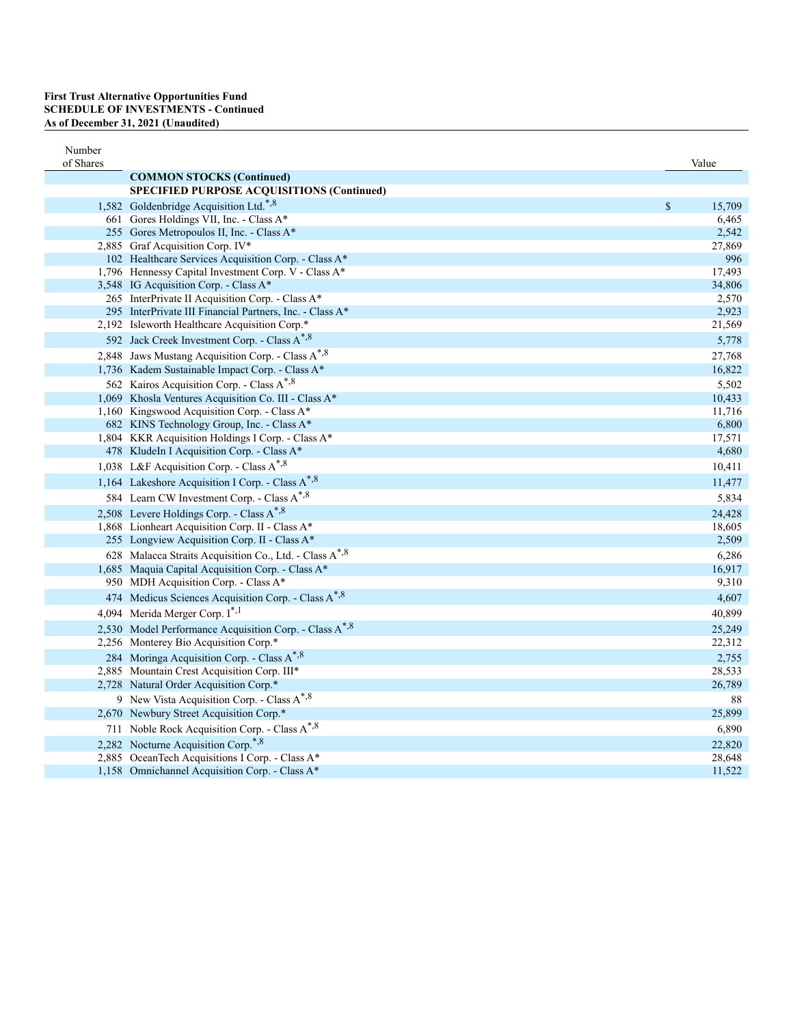| Number<br>of Shares |                                                                    |             | Value  |
|---------------------|--------------------------------------------------------------------|-------------|--------|
|                     | <b>COMMON STOCKS (Continued)</b>                                   |             |        |
|                     | SPECIFIED PURPOSE ACQUISITIONS (Continued)                         |             |        |
|                     | 1,582 Goldenbridge Acquisition Ltd.*,8                             | $\mathbb S$ | 15,709 |
|                     | 661 Gores Holdings VII, Inc. - Class A*                            |             | 6,465  |
|                     | 255 Gores Metropoulos II, Inc. - Class A*                          |             | 2,542  |
|                     | 2,885 Graf Acquisition Corp. IV*                                   |             | 27,869 |
|                     | 102 Healthcare Services Acquisition Corp. - Class A*               |             | 996    |
|                     | 1,796 Hennessy Capital Investment Corp. V - Class A*               |             | 17,493 |
|                     | 3,548 IG Acquisition Corp. - Class A*                              |             | 34,806 |
|                     | 265 InterPrivate II Acquisition Corp. - Class A*                   |             | 2,570  |
|                     | 295 InterPrivate III Financial Partners, Inc. - Class A*           |             | 2,923  |
|                     | 2,192 Isleworth Healthcare Acquisition Corp.*                      |             | 21,569 |
|                     | 592 Jack Creek Investment Corp. - Class A <sup>*,8</sup>           |             | 5,778  |
|                     | 2,848 Jaws Mustang Acquisition Corp. - Class A <sup>*,8</sup>      |             | 27,768 |
|                     | 1,736 Kadem Sustainable Impact Corp. - Class A*                    |             | 16,822 |
|                     | 562 Kairos Acquisition Corp. - Class A <sup>*,8</sup>              |             | 5,502  |
|                     | 1,069 Khosla Ventures Acquisition Co. III - Class A*               |             | 10,433 |
|                     | 1,160 Kingswood Acquisition Corp. - Class A*                       |             | 11,716 |
|                     | 682 KINS Technology Group, Inc. - Class A*                         |             | 6,800  |
|                     | 1,804 KKR Acquisition Holdings I Corp. - Class A*                  |             | 17,571 |
|                     | 478 KludeIn I Acquisition Corp. - Class A*                         |             | 4,680  |
|                     | 1,038 L&F Acquisition Corp. - Class A <sup>*,8</sup>               |             | 10,411 |
|                     | 1,164 Lakeshore Acquisition I Corp. - Class A*, 8                  |             | 11,477 |
|                     | 584 Learn CW Investment Corp. - Class A <sup>*,8</sup>             |             | 5,834  |
|                     | 2,508 Levere Holdings Corp. - Class A*, 8                          |             | 24,428 |
|                     | 1,868 Lionheart Acquisition Corp. II - Class A*                    |             | 18,605 |
|                     | 255 Longview Acquisition Corp. II - Class A*                       |             | 2,509  |
|                     | 628 Malacca Straits Acquisition Co., Ltd. - Class A <sup>*,8</sup> |             | 6,286  |
|                     | 1,685 Maquia Capital Acquisition Corp. - Class A*                  |             | 16,917 |
|                     | 950 MDH Acquisition Corp. - Class A*                               |             | 9,310  |
|                     | 474 Medicus Sciences Acquisition Corp. - Class A*, 8               |             | 4,607  |
|                     | 4,094 Merida Merger Corp. I <sup>*,1</sup>                         |             | 40,899 |
|                     | 2,530 Model Performance Acquisition Corp. - Class A <sup>*,8</sup> |             | 25,249 |
|                     | 2,256 Monterey Bio Acquisition Corp.*                              |             | 22,312 |
|                     | 284 Moringa Acquisition Corp. - Class A <sup>*,8</sup>             |             | 2,755  |
|                     | 2,885 Mountain Crest Acquisition Corp. III*                        |             | 28,533 |
|                     | 2,728 Natural Order Acquisition Corp.*                             |             | 26,789 |
|                     | 9 New Vista Acquisition Corp. - Class A <sup>*,8</sup>             |             | 88     |
|                     | 2,670 Newbury Street Acquisition Corp.*                            |             | 25,899 |
|                     | 711 Noble Rock Acquisition Corp. - Class A <sup>*,8</sup>          |             | 6,890  |
|                     | 2,282 Nocturne Acquisition Corp. <sup>*,8</sup>                    |             | 22,820 |
|                     | 2,885 OceanTech Acquisitions I Corp. - Class A*                    |             | 28,648 |
|                     | 1,158 Omnichannel Acquisition Corp. - Class A*                     |             | 11,522 |
|                     |                                                                    |             |        |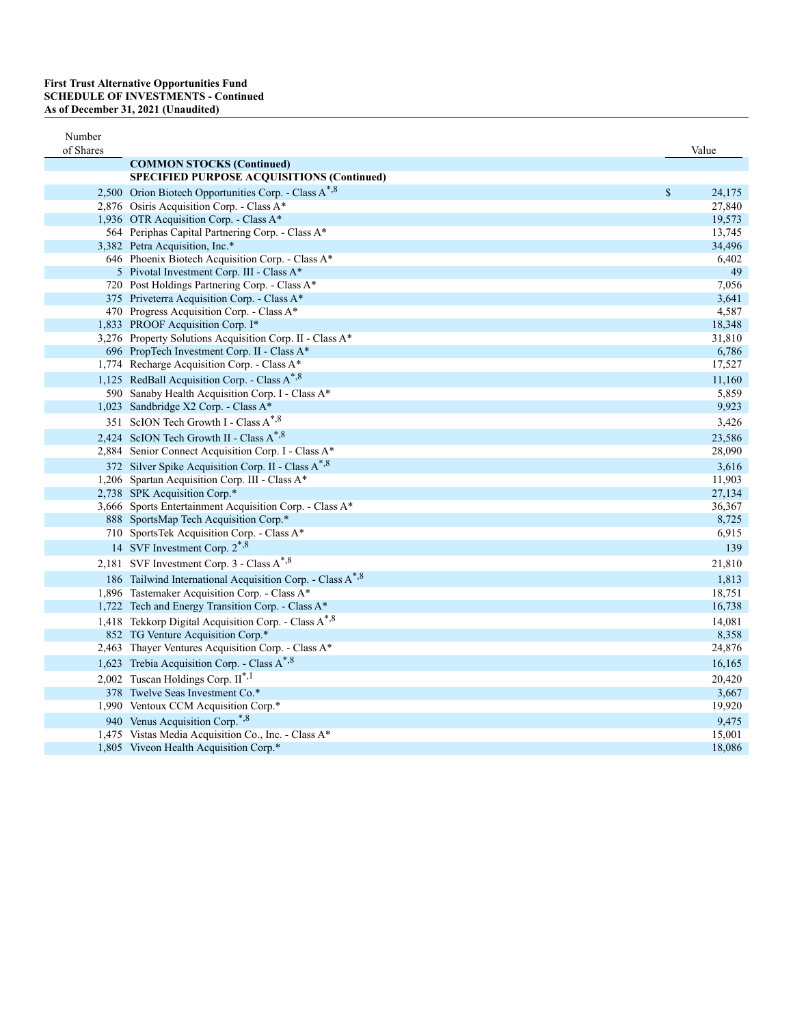| Number<br>of Shares |                                                                                                                                             | Value                     |
|---------------------|---------------------------------------------------------------------------------------------------------------------------------------------|---------------------------|
|                     | <b>COMMON STOCKS (Continued)</b>                                                                                                            |                           |
|                     | SPECIFIED PURPOSE ACQUISITIONS (Continued)                                                                                                  |                           |
|                     | 2,500 Orion Biotech Opportunities Corp. - Class A*, 8                                                                                       | \$<br>24,175              |
|                     | 2,876 Osiris Acquisition Corp. - Class A*                                                                                                   | 27,840                    |
|                     | 1,936 OTR Acquisition Corp. - Class A*                                                                                                      | 19,573                    |
|                     | 564 Periphas Capital Partnering Corp. - Class A*                                                                                            | 13,745                    |
|                     | 3,382 Petra Acquisition, Inc.*                                                                                                              | 34,496                    |
|                     | 646 Phoenix Biotech Acquisition Corp. - Class A*                                                                                            | 6,402                     |
|                     | 5 Pivotal Investment Corp. III - Class A*                                                                                                   | 49                        |
|                     | 720 Post Holdings Partnering Corp. - Class A*                                                                                               | 7,056                     |
|                     | 375 Priveterra Acquisition Corp. - Class A*                                                                                                 | 3,641                     |
|                     | 470 Progress Acquisition Corp. - Class A*                                                                                                   | 4,587                     |
|                     | 1,833 PROOF Acquisition Corp. I*                                                                                                            | 18,348                    |
|                     | 3,276 Property Solutions Acquisition Corp. II - Class A*                                                                                    | 31,810                    |
|                     | 696 PropTech Investment Corp. II - Class A*                                                                                                 | 6,786                     |
|                     | 1,774 Recharge Acquisition Corp. - Class A*                                                                                                 | 17,527                    |
|                     | 1,125 RedBall Acquisition Corp. - Class A*,8                                                                                                | 11,160                    |
|                     | 590 Sanaby Health Acquisition Corp. I - Class A*                                                                                            | 5,859                     |
|                     | 1,023 Sandbridge X2 Corp. - Class A*                                                                                                        | 9,923                     |
|                     | 351 ScION Tech Growth I - Class A*, 8                                                                                                       | 3,426                     |
|                     | 2,424 ScION Tech Growth II - Class A*,8                                                                                                     | 23,586                    |
|                     | 2,884 Senior Connect Acquisition Corp. I - Class A*                                                                                         | 28,090                    |
|                     | 372 Silver Spike Acquisition Corp. II - Class A <sup>*,8</sup>                                                                              | 3,616                     |
|                     | 1,206 Spartan Acquisition Corp. III - Class A*                                                                                              | 11,903                    |
|                     | 2,738 SPK Acquisition Corp.*                                                                                                                | 27,134                    |
|                     | 3,666 Sports Entertainment Acquisition Corp. - Class A*                                                                                     | 36,367                    |
|                     | 888 SportsMap Tech Acquisition Corp.*                                                                                                       | 8,725                     |
|                     | 710 SportsTek Acquisition Corp. - Class A*                                                                                                  | 6,915                     |
|                     | 14 SVF Investment Corp. 2 <sup>*,8</sup>                                                                                                    | 139                       |
|                     | 2,181 SVF Investment Corp. 3 - Class A <sup>*,8</sup>                                                                                       | 21,810                    |
|                     | 186 Tailwind International Acquisition Corp. - Class A <sup>*,8</sup>                                                                       | 1,813                     |
|                     | 1,896 Tastemaker Acquisition Corp. - Class A*                                                                                               | 18,751                    |
|                     | 1,722 Tech and Energy Transition Corp. - Class A*                                                                                           | 16,738                    |
|                     | 1,418 Tekkorp Digital Acquisition Corp. - Class A <sup>*,8</sup>                                                                            | 14,081                    |
|                     | 852 TG Venture Acquisition Corp.*                                                                                                           | 8,358                     |
|                     | 2,463 Thayer Ventures Acquisition Corp. - Class A*                                                                                          | 24,876                    |
|                     | 1,623 Trebia Acquisition Corp. - Class A*,8                                                                                                 | 16,165                    |
|                     | 2,002 Tuscan Holdings Corp. $II^{\ast,1}$                                                                                                   | 20,420                    |
|                     | 378 Twelve Seas Investment Co.*                                                                                                             | 3,667                     |
|                     | 1,990 Ventoux CCM Acquisition Corp.*                                                                                                        | 19,920                    |
|                     |                                                                                                                                             |                           |
|                     |                                                                                                                                             |                           |
|                     |                                                                                                                                             |                           |
|                     | 940 Venus Acquisition Corp. <sup>*,8</sup><br>1,475 Vistas Media Acquisition Co., Inc. - Class A*<br>1,805 Viveon Health Acquisition Corp.* | 9,475<br>15,001<br>18,086 |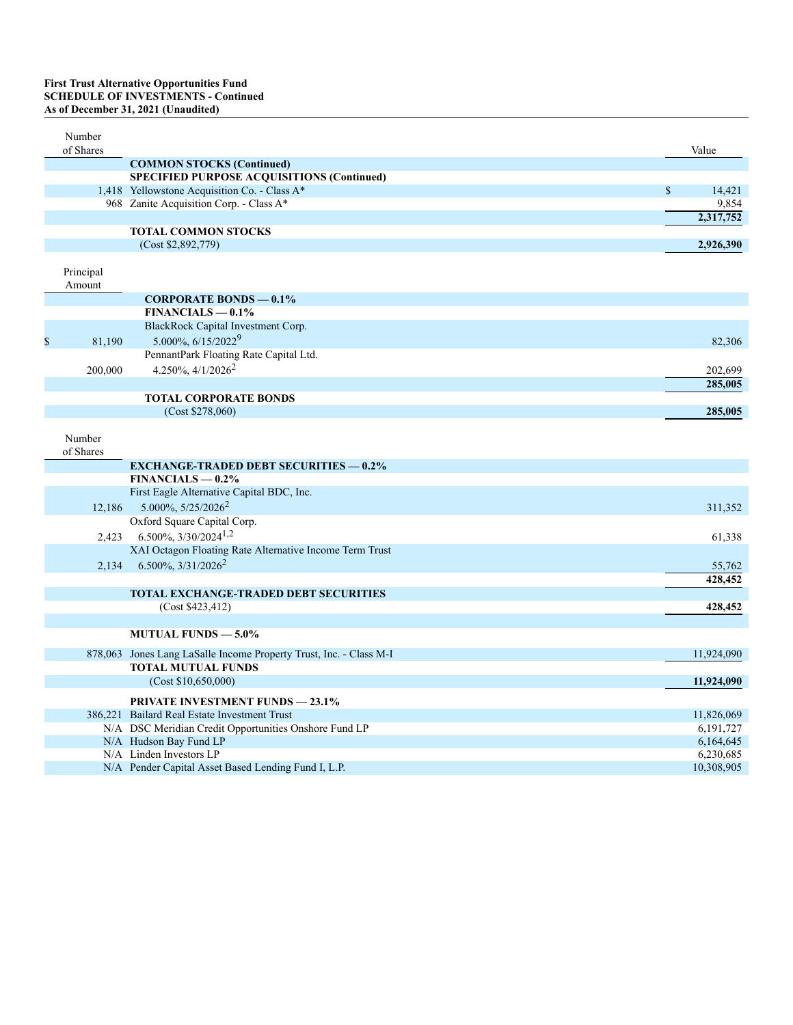# **First Trust Alternative Opportunities Fund<br>SCHEDULE OF INVESTMENTS - Continued<br>As of December 31, 2021 (Unaudited)**

| Number<br>of Shares |                                                                    | Value        |
|---------------------|--------------------------------------------------------------------|--------------|
|                     | <b>COMMON STOCKS (Continued)</b>                                   |              |
|                     | SPECIFIED PURPOSE ACQUISITIONS (Continued)                         |              |
|                     | 1,418 Yellowstone Acquisition Co. - Class A*                       | \$<br>14,421 |
|                     | 968 Zanite Acquisition Corp. - Class A*                            | 9,854        |
|                     |                                                                    | 2,317,752    |
|                     | <b>TOTAL COMMON STOCKS</b>                                         |              |
|                     | (Cost \$2,892,779)                                                 | 2,926,390    |
| Principal<br>Amount |                                                                    |              |
|                     | <b>CORPORATE BONDS - 0.1%</b>                                      |              |
|                     | $FINANCIALS - 0.1%$                                                |              |
|                     | BlackRock Capital Investment Corp.                                 |              |
| \$<br>81,190        | 5.000%, 6/15/20229                                                 | 82,306       |
|                     | PennantPark Floating Rate Capital Ltd.                             |              |
| 200,000             | 4.250%, $4/1/2026^2$                                               | 202,699      |
|                     |                                                                    | 285,005      |
|                     | <b>TOTAL CORPORATE BONDS</b>                                       |              |
|                     | (Cost \$278,060)                                                   | 285,005      |
| Number<br>of Shares |                                                                    |              |
|                     | <b>EXCHANGE-TRADED DEBT SECURITIES - 0.2%</b>                      |              |
|                     | $FINANCIALS - 0.2%$                                                |              |
|                     | First Eagle Alternative Capital BDC, Inc.                          |              |
| 12,186              | $5.000\%$ , $5/25/2026^2$                                          | 311,352      |
|                     | Oxford Square Capital Corp.                                        |              |
| 2,423               | $6.500\%, 3/30/2024^{1,2}$                                         | 61,338       |
|                     | XAI Octagon Floating Rate Alternative Income Term Trust            |              |
| 2.134               | 6.500%, 3/31/2026 <sup>2</sup>                                     | 55,762       |
|                     |                                                                    | 428,452      |
|                     | <b>TOTAL EXCHANGE-TRADED DEBT SECURITIES</b>                       |              |
|                     | (Cost \$423,412)                                                   | 428,452      |
|                     | <b>MUTUAL FUNDS - 5.0%</b>                                         |              |
|                     | 878,063 Jones Lang LaSalle Income Property Trust, Inc. - Class M-I | 11,924,090   |
|                     | <b>TOTAL MUTUAL FUNDS</b>                                          |              |
|                     | (Cost \$10,650,000)                                                | 11,924,090   |
|                     | <b>PRIVATE INVESTMENT FUNDS - 23.1%</b>                            |              |
|                     | 386.221 Bailard Real Estate Investment Trust                       | 11,826,069   |
|                     | N/A DSC Meridian Credit Opportunities Onshore Fund LP              | 6, 191, 727  |
|                     | N/A Hudson Bay Fund LP                                             | 6,164,645    |
|                     | N/A Linden Investors LP                                            | 6,230,685    |
|                     | N/A Pender Capital Asset Based Lending Fund I, L.P.                | 10,308,905   |
|                     |                                                                    |              |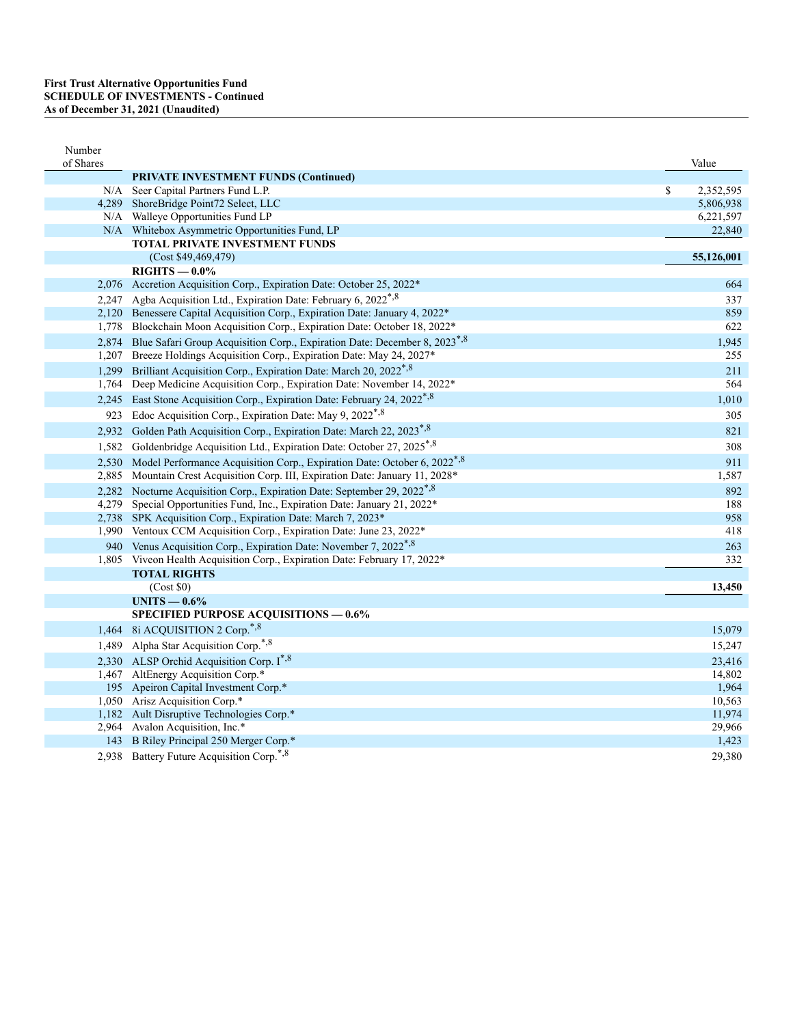| of Shares<br>Value<br><b>PRIVATE INVESTMENT FUNDS (Continued)</b><br>\$<br>2,352,595<br>N/A Seer Capital Partners Fund L.P.<br>4,289 ShoreBridge Point72 Select, LLC<br>5,806,938<br>N/A Walleye Opportunities Fund LP<br>6,221,597<br>N/A Whitebox Asymmetric Opportunities Fund, LP<br>22,840<br><b>TOTAL PRIVATE INVESTMENT FUNDS</b><br>(Cost \$49,469,479)<br>55,126,001<br>$RIGHTS - 0.0\%$<br>2,076 Accretion Acquisition Corp., Expiration Date: October 25, 2022*<br>2,247 Agba Acquisition Ltd., Expiration Date: February 6, 2022 <sup>*,8</sup><br>2,120 Benessere Capital Acquisition Corp., Expiration Date: January 4, 2022* |     |
|---------------------------------------------------------------------------------------------------------------------------------------------------------------------------------------------------------------------------------------------------------------------------------------------------------------------------------------------------------------------------------------------------------------------------------------------------------------------------------------------------------------------------------------------------------------------------------------------------------------------------------------------|-----|
|                                                                                                                                                                                                                                                                                                                                                                                                                                                                                                                                                                                                                                             |     |
|                                                                                                                                                                                                                                                                                                                                                                                                                                                                                                                                                                                                                                             |     |
|                                                                                                                                                                                                                                                                                                                                                                                                                                                                                                                                                                                                                                             |     |
|                                                                                                                                                                                                                                                                                                                                                                                                                                                                                                                                                                                                                                             |     |
|                                                                                                                                                                                                                                                                                                                                                                                                                                                                                                                                                                                                                                             |     |
|                                                                                                                                                                                                                                                                                                                                                                                                                                                                                                                                                                                                                                             |     |
|                                                                                                                                                                                                                                                                                                                                                                                                                                                                                                                                                                                                                                             |     |
|                                                                                                                                                                                                                                                                                                                                                                                                                                                                                                                                                                                                                                             |     |
|                                                                                                                                                                                                                                                                                                                                                                                                                                                                                                                                                                                                                                             | 664 |
|                                                                                                                                                                                                                                                                                                                                                                                                                                                                                                                                                                                                                                             | 337 |
|                                                                                                                                                                                                                                                                                                                                                                                                                                                                                                                                                                                                                                             | 859 |
| 1,778 Blockchain Moon Acquisition Corp., Expiration Date: October 18, 2022*                                                                                                                                                                                                                                                                                                                                                                                                                                                                                                                                                                 | 622 |
| 2,874 Blue Safari Group Acquisition Corp., Expiration Date: December 8, 2023 <sup>*,8</sup><br>1,945                                                                                                                                                                                                                                                                                                                                                                                                                                                                                                                                        |     |
| 1,207 Breeze Holdings Acquisition Corp., Expiration Date: May 24, 2027*                                                                                                                                                                                                                                                                                                                                                                                                                                                                                                                                                                     | 255 |
| 1,299 Brilliant Acquisition Corp., Expiration Date: March 20, 2022 <sup>*,8</sup>                                                                                                                                                                                                                                                                                                                                                                                                                                                                                                                                                           | 211 |
| 1,764 Deep Medicine Acquisition Corp., Expiration Date: November 14, 2022*                                                                                                                                                                                                                                                                                                                                                                                                                                                                                                                                                                  | 564 |
| 2,245 East Stone Acquisition Corp., Expiration Date: February 24, 2022 <sup>*,8</sup><br>1,010                                                                                                                                                                                                                                                                                                                                                                                                                                                                                                                                              |     |
| 923 Edoc Acquisition Corp., Expiration Date: May 9, 2022*, 8                                                                                                                                                                                                                                                                                                                                                                                                                                                                                                                                                                                | 305 |
| 2,932 Golden Path Acquisition Corp., Expiration Date: March 22, 2023 <sup>*,8</sup>                                                                                                                                                                                                                                                                                                                                                                                                                                                                                                                                                         | 821 |
| Goldenbridge Acquisition Ltd., Expiration Date: October 27, 2025*,8<br>1,582                                                                                                                                                                                                                                                                                                                                                                                                                                                                                                                                                                | 308 |
| 2,530 Model Performance Acquisition Corp., Expiration Date: October 6, 2022 <sup>*,8</sup>                                                                                                                                                                                                                                                                                                                                                                                                                                                                                                                                                  | 911 |
| 2,885 Mountain Crest Acquisition Corp. III, Expiration Date: January 11, 2028*<br>1,587                                                                                                                                                                                                                                                                                                                                                                                                                                                                                                                                                     |     |
| 2,282 Nocturne Acquisition Corp., Expiration Date: September 29, 2022 <sup>*,8</sup>                                                                                                                                                                                                                                                                                                                                                                                                                                                                                                                                                        | 892 |
| 4,279 Special Opportunities Fund, Inc., Expiration Date: January 21, 2022*                                                                                                                                                                                                                                                                                                                                                                                                                                                                                                                                                                  | 188 |
| 2,738 SPK Acquisition Corp., Expiration Date: March 7, 2023*                                                                                                                                                                                                                                                                                                                                                                                                                                                                                                                                                                                | 958 |
| 1,990 Ventoux CCM Acquisition Corp., Expiration Date: June 23, 2022*                                                                                                                                                                                                                                                                                                                                                                                                                                                                                                                                                                        | 418 |
| 940 Venus Acquisition Corp., Expiration Date: November 7, 2022 <sup>*,8</sup>                                                                                                                                                                                                                                                                                                                                                                                                                                                                                                                                                               | 263 |
| 1,805 Viveon Health Acquisition Corp., Expiration Date: February 17, 2022*                                                                                                                                                                                                                                                                                                                                                                                                                                                                                                                                                                  | 332 |
| <b>TOTAL RIGHTS</b>                                                                                                                                                                                                                                                                                                                                                                                                                                                                                                                                                                                                                         |     |
| (Cost \$0)<br>13,450                                                                                                                                                                                                                                                                                                                                                                                                                                                                                                                                                                                                                        |     |
| UNITS $-0.6\%$                                                                                                                                                                                                                                                                                                                                                                                                                                                                                                                                                                                                                              |     |
| <b>SPECIFIED PURPOSE ACQUISITIONS - 0.6%</b>                                                                                                                                                                                                                                                                                                                                                                                                                                                                                                                                                                                                |     |
| 1,464 8i ACQUISITION 2 Corp. <sup>*,8</sup><br>15,079                                                                                                                                                                                                                                                                                                                                                                                                                                                                                                                                                                                       |     |
| 1,489 Alpha Star Acquisition Corp. <sup>*,8</sup><br>15,247                                                                                                                                                                                                                                                                                                                                                                                                                                                                                                                                                                                 |     |
| 2,330 ALSP Orchid Acquisition Corp. I*,8<br>23,416                                                                                                                                                                                                                                                                                                                                                                                                                                                                                                                                                                                          |     |
| 1,467 AltEnergy Acquisition Corp.*<br>14.802                                                                                                                                                                                                                                                                                                                                                                                                                                                                                                                                                                                                |     |
| 195 Apeiron Capital Investment Corp.*<br>1,964                                                                                                                                                                                                                                                                                                                                                                                                                                                                                                                                                                                              |     |
| 1,050 Arisz Acquisition Corp.*<br>10,563<br>1,182 Ault Disruptive Technologies Corp.*<br>11,974                                                                                                                                                                                                                                                                                                                                                                                                                                                                                                                                             |     |
| 2,964 Avalon Acquisition, Inc.*<br>29,966                                                                                                                                                                                                                                                                                                                                                                                                                                                                                                                                                                                                   |     |
| 143 B Riley Principal 250 Merger Corp.*<br>1,423                                                                                                                                                                                                                                                                                                                                                                                                                                                                                                                                                                                            |     |
| 2,938 Battery Future Acquisition Corp. <sup>*,8</sup><br>29,380                                                                                                                                                                                                                                                                                                                                                                                                                                                                                                                                                                             |     |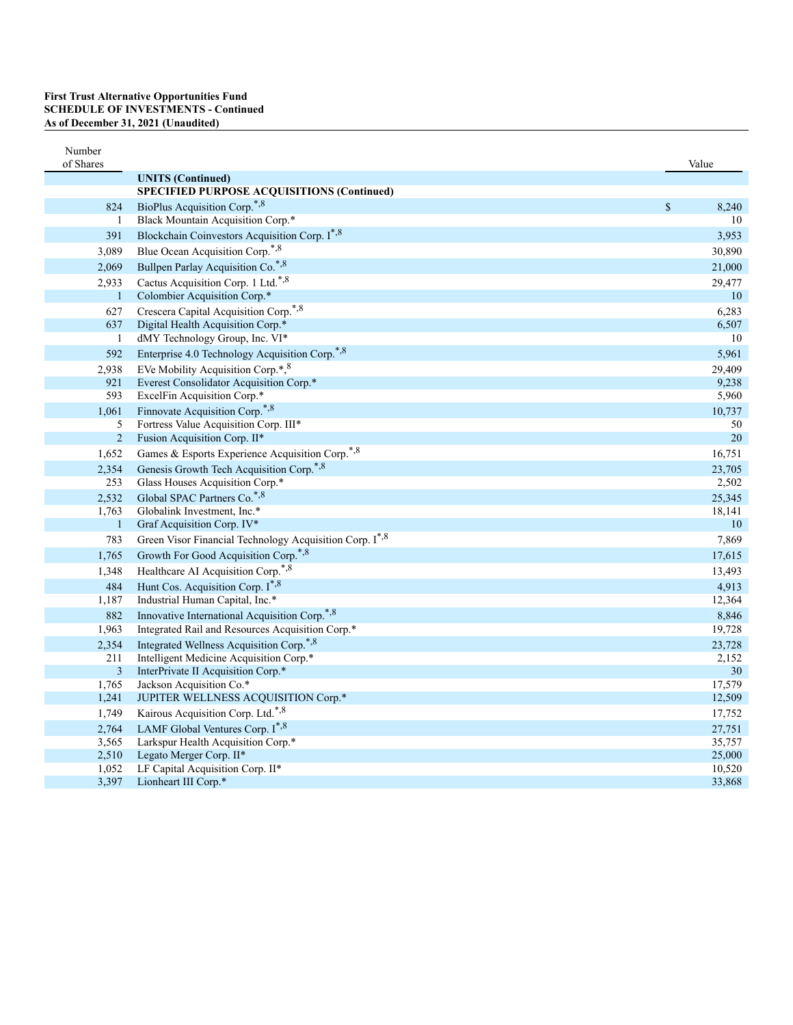| Number                |                                                             |             |              |
|-----------------------|-------------------------------------------------------------|-------------|--------------|
| of Shares             | <b>UNITS</b> (Continued)                                    |             | Value        |
|                       | SPECIFIED PURPOSE ACQUISITIONS (Continued)                  |             |              |
| 824                   | BioPlus Acquisition Corp. <sup>*,8</sup>                    | $\mathbb S$ | 8,240        |
| $\mathbf{1}$          | Black Mountain Acquisition Corp.*                           |             | 10           |
| 391                   | Blockchain Coinvestors Acquisition Corp. I*,8               |             | 3,953        |
| 3,089                 | Blue Ocean Acquisition Corp. <sup>*,8</sup>                 |             | 30,890       |
| 2,069                 | Bullpen Parlay Acquisition Co.*,8                           |             | 21,000       |
| 2,933                 | Cactus Acquisition Corp. 1 Ltd.*,8                          |             | 29,477       |
| $\mathbf{1}$          | Colombier Acquisition Corp.*                                |             | 10           |
| 627                   | Crescera Capital Acquisition Corp. <sup>*,8</sup>           |             | 6,283        |
| 637                   | Digital Health Acquisition Corp.*                           |             | 6,507        |
| 1                     | dMY Technology Group, Inc. VI*                              |             | 10           |
| 592                   | Enterprise 4.0 Technology Acquisition Corp. <sup>*,8</sup>  |             | 5,961        |
| 2,938                 | EVe Mobility Acquisition Corp.*, 8                          |             | 29,409       |
| 921                   | Everest Consolidator Acquisition Corp.*                     |             | 9,238        |
| 593                   | ExcelFin Acquisition Corp.*                                 |             | 5,960        |
| 1,061                 | Finnovate Acquisition Corp. <sup>*,8</sup>                  |             | 10,737       |
| 5                     | Fortress Value Acquisition Corp. III*                       |             | 50           |
| $\overline{c}$        | Fusion Acquisition Corp. II*                                |             | $20\,$       |
| 1,652                 | Games & Esports Experience Acquisition Corp. <sup>*,8</sup> |             | 16,751       |
| 2,354                 | Genesis Growth Tech Acquisition Corp. <sup>*,8</sup>        |             | 23,705       |
| 253                   | Glass Houses Acquisition Corp.*                             |             | 2,502        |
| 2,532                 | Global SPAC Partners Co.*,8                                 |             | 25,345       |
| 1,763<br>$\mathbf{1}$ | Globalink Investment, Inc.*<br>Graf Acquisition Corp. IV*   |             | 18,141<br>10 |
| 783                   | Green Visor Financial Technology Acquisition Corp. I*,8     |             | 7,869        |
| 1,765                 | Growth For Good Acquisition Corp.*,8                        |             | 17,615       |
| 1,348                 | Healthcare AI Acquisition Corp. <sup>*,8</sup>              |             | 13,493       |
|                       | Hunt Cos. Acquisition Corp. I*,8                            |             | 4,913        |
| 484<br>1,187          | Industrial Human Capital, Inc.*                             |             | 12,364       |
| 882                   | Innovative International Acquisition Corp. <sup>*,8</sup>   |             | 8,846        |
| 1,963                 | Integrated Rail and Resources Acquisition Corp.*            |             | 19,728       |
| 2,354                 | Integrated Wellness Acquisition Corp. <sup>*,8</sup>        |             | 23,728       |
| 211                   | Intelligent Medicine Acquisition Corp.*                     |             | 2,152        |
| $\mathfrak{Z}$        | InterPrivate II Acquisition Corp.*                          |             | $30\,$       |
| 1,765                 | Jackson Acquisition Co.*                                    |             | 17,579       |
| 1,241                 | JUPITER WELLNESS ACQUISITION Corp.*                         |             | 12,509       |
| 1,749                 | Kairous Acquisition Corp. Ltd.*,8                           |             | 17,752       |
| 2,764                 | LAMF Global Ventures Corp. I*,8                             |             | 27,751       |
| 3,565                 | Larkspur Health Acquisition Corp.*                          |             | 35,757       |
| 2,510                 | Legato Merger Corp. II*                                     |             | 25,000       |
| 1,052                 | LF Capital Acquisition Corp. II*                            |             | 10,520       |
| 3,397                 | Lionheart III Corp.*                                        |             | 33,868       |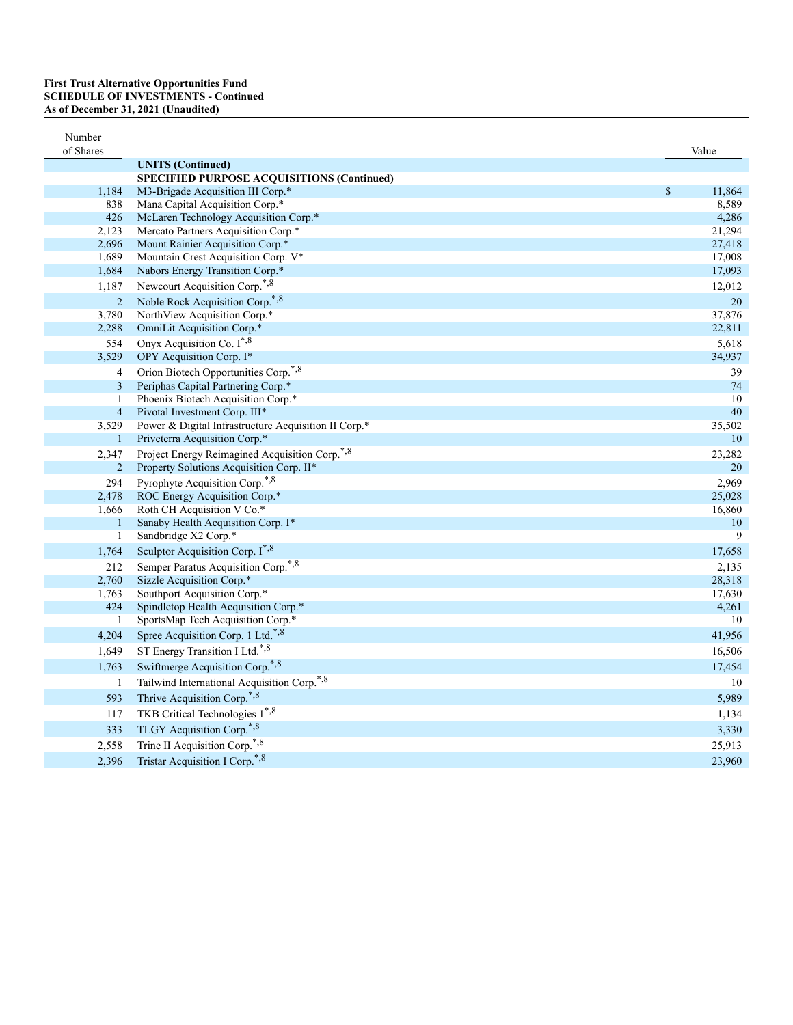| Number<br>of Shares |                                                            |               | Value  |
|---------------------|------------------------------------------------------------|---------------|--------|
|                     | <b>UNITS</b> (Continued)                                   |               |        |
|                     | <b>SPECIFIED PURPOSE ACQUISITIONS (Continued)</b>          |               |        |
| 1,184               | M3-Brigade Acquisition III Corp.*                          | $\mathcal{S}$ | 11,864 |
| 838                 | Mana Capital Acquisition Corp.*                            |               | 8,589  |
| 426                 | McLaren Technology Acquisition Corp.*                      |               | 4,286  |
| 2,123               | Mercato Partners Acquisition Corp.*                        |               | 21,294 |
| 2,696               | Mount Rainier Acquisition Corp.*                           |               | 27,418 |
| 1,689               | Mountain Crest Acquisition Corp. V*                        |               | 17,008 |
| 1,684               | Nabors Energy Transition Corp.*                            |               | 17,093 |
| 1,187               | Newcourt Acquisition Corp.*,8                              |               | 12,012 |
| $\overline{2}$      | Noble Rock Acquisition Corp.*,8                            |               | 20     |
| 3,780               | NorthView Acquisition Corp.*                               |               | 37,876 |
| 2,288               | OmniLit Acquisition Corp.*                                 |               | 22,811 |
| 554                 | Onyx Acquisition Co. I <sup>*,8</sup>                      |               | 5,618  |
| 3,529               | OPY Acquisition Corp. I*                                   |               | 34,937 |
| $\overline{4}$      | Orion Biotech Opportunities Corp. <sup>*,8</sup>           |               | 39     |
| $\overline{3}$      | Periphas Capital Partnering Corp.*                         |               | 74     |
| 1                   | Phoenix Biotech Acquisition Corp.*                         |               | 10     |
| $\overline{4}$      | Pivotal Investment Corp. III*                              |               | 40     |
| 3,529               | Power & Digital Infrastructure Acquisition II Corp.*       |               | 35,502 |
| $\mathbf{1}$        | Priveterra Acquisition Corp.*                              |               | 10     |
| 2,347               | Project Energy Reimagined Acquisition Corp. <sup>*,8</sup> |               | 23,282 |
| $\overline{2}$      | Property Solutions Acquisition Corp. II*                   |               | 20     |
| 294                 | Pyrophyte Acquisition Corp.*,8                             |               | 2,969  |
| 2,478               | ROC Energy Acquisition Corp.*                              |               | 25,028 |
| 1,666               | Roth CH Acquisition V Co.*                                 |               | 16,860 |
| $\mathbf{1}$        | Sanaby Health Acquisition Corp. I*                         |               | 10     |
| 1                   | Sandbridge X2 Corp.*                                       |               | 9      |
| 1,764               | Sculptor Acquisition Corp. I*,8                            |               | 17,658 |
| 212                 | Semper Paratus Acquisition Corp.*,8                        |               | 2,135  |
| 2,760               | Sizzle Acquisition Corp.*                                  |               | 28,318 |
| 1,763               | Southport Acquisition Corp.*                               |               | 17,630 |
| 424                 | Spindletop Health Acquisition Corp.*                       |               | 4,261  |
| $\mathbf{1}$        | SportsMap Tech Acquisition Corp.*                          |               | 10     |
| 4,204               | Spree Acquisition Corp. 1 Ltd.*,8                          |               | 41,956 |
| 1,649               | ST Energy Transition I Ltd.*,8                             |               | 16,506 |
| 1,763               | Swiftmerge Acquisition Corp.*,8                            |               | 17,454 |
| 1                   | Tailwind International Acquisition Corp. <sup>*,8</sup>    |               | 10     |
| 593                 | Thrive Acquisition Corp. <sup>*,8</sup>                    |               | 5,989  |
| 117                 | TKB Critical Technologies 1*,8                             |               | 1,134  |
|                     | TLGY Acquisition Corp.*,8                                  |               |        |
| 333                 |                                                            |               | 3,330  |
| 2,558               | Trine II Acquisition Corp.*,8                              |               | 25,913 |
| 2,396               | Tristar Acquisition I Corp.*,8                             |               | 23,960 |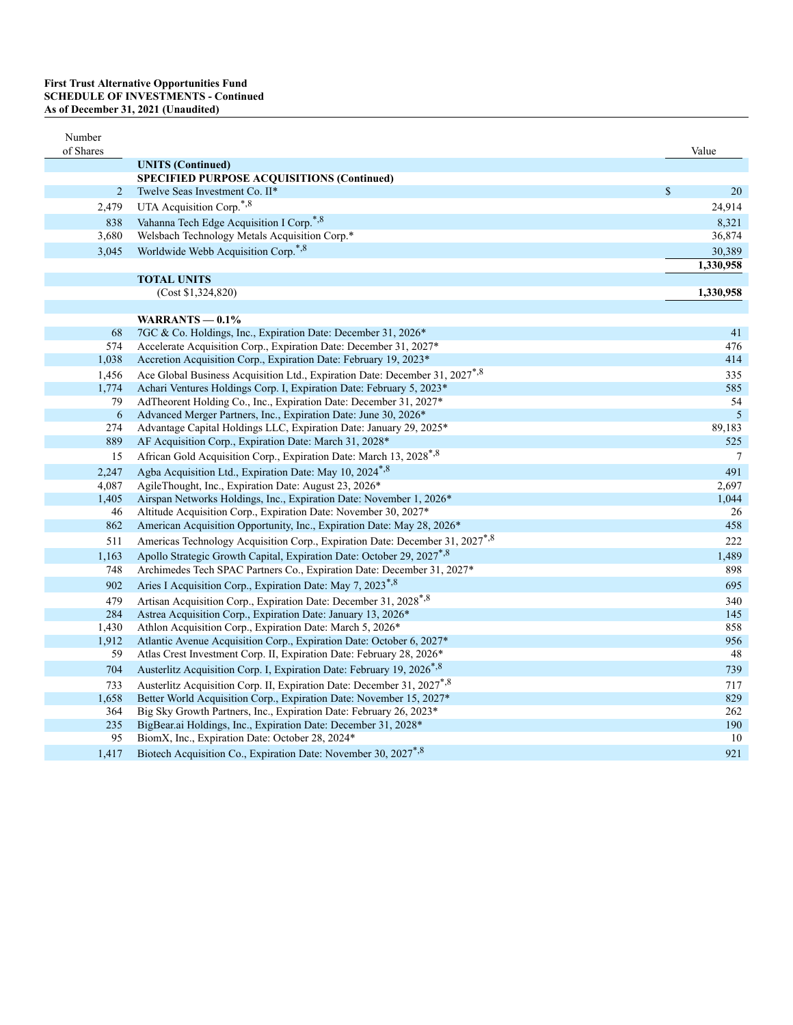| Number<br>of Shares |                                                                                                                              |               | Value                    |
|---------------------|------------------------------------------------------------------------------------------------------------------------------|---------------|--------------------------|
|                     | <b>UNITS</b> (Continued)                                                                                                     |               |                          |
|                     | SPECIFIED PURPOSE ACQUISITIONS (Continued)                                                                                   |               |                          |
| $\overline{2}$      | Twelve Seas Investment Co. II*                                                                                               | $\mathcal{S}$ | 20                       |
| 2,479               | UTA Acquisition Corp.*,8                                                                                                     |               | 24,914                   |
| 838                 | Vahanna Tech Edge Acquisition I Corp.*,8                                                                                     |               | 8,321                    |
| 3,680               | Welsbach Technology Metals Acquisition Corp.*                                                                                |               | 36,874                   |
| 3,045               | Worldwide Webb Acquisition Corp. <sup>*,8</sup>                                                                              |               | 30,389                   |
|                     |                                                                                                                              |               | 1,330,958                |
|                     | <b>TOTAL UNITS</b>                                                                                                           |               |                          |
|                     | (Cost \$1,324,820)                                                                                                           |               | 1,330,958                |
|                     |                                                                                                                              |               |                          |
|                     | WARRANTS $-0.1\%$                                                                                                            |               |                          |
| 68                  | 7GC & Co. Holdings, Inc., Expiration Date: December 31, 2026*                                                                |               | 41                       |
| 574                 | Accelerate Acquisition Corp., Expiration Date: December 31, 2027*                                                            |               | 476                      |
| 1,038               | Accretion Acquisition Corp., Expiration Date: February 19, 2023*                                                             |               | 414                      |
| 1,456               | Ace Global Business Acquisition Ltd., Expiration Date: December 31, 2027 <sup>*,8</sup>                                      |               | 335                      |
| 1,774               | Achari Ventures Holdings Corp. I, Expiration Date: February 5, 2023*                                                         |               | 585                      |
| 79                  | AdTheorent Holding Co., Inc., Expiration Date: December 31, 2027*                                                            |               | 54                       |
| 6<br>274            | Advanced Merger Partners, Inc., Expiration Date: June 30, 2026*                                                              |               | $\mathfrak{S}$<br>89,183 |
| 889                 | Advantage Capital Holdings LLC, Expiration Date: January 29, 2025*<br>AF Acquisition Corp., Expiration Date: March 31, 2028* |               | 525                      |
|                     |                                                                                                                              |               | $\boldsymbol{7}$         |
| 15                  | African Gold Acquisition Corp., Expiration Date: March 13, 2028*, 8                                                          |               |                          |
| 2,247               | Agba Acquisition Ltd., Expiration Date: May 10, 2024 <sup>*,8</sup>                                                          |               | 491                      |
| 4,087<br>1,405      | AgileThought, Inc., Expiration Date: August 23, 2026*<br>Airspan Networks Holdings, Inc., Expiration Date: November 1, 2026* |               | 2,697<br>1,044           |
| 46                  | Altitude Acquisition Corp., Expiration Date: November 30, 2027*                                                              |               | 26                       |
| 862                 | American Acquisition Opportunity, Inc., Expiration Date: May 28, 2026 <sup>*</sup>                                           |               | 458                      |
| 511                 | Americas Technology Acquisition Corp., Expiration Date: December 31, 2027 <sup>*,8</sup>                                     |               | 222                      |
| 1,163               | Apollo Strategic Growth Capital, Expiration Date: October 29, 2027*,8                                                        |               | 1,489                    |
| 748                 | Archimedes Tech SPAC Partners Co., Expiration Date: December 31, 2027*                                                       |               | 898                      |
| 902                 | Aries I Acquisition Corp., Expiration Date: May 7, 2023 <sup>*,8</sup>                                                       |               |                          |
|                     |                                                                                                                              |               | 695                      |
| 479<br>284          | Artisan Acquisition Corp., Expiration Date: December 31, 2028*,8                                                             |               | 340<br>145               |
| 1,430               | Astrea Acquisition Corp., Expiration Date: January 13, 2026*<br>Athlon Acquisition Corp., Expiration Date: March 5, 2026*    |               | 858                      |
| 1,912               | Atlantic Avenue Acquisition Corp., Expiration Date: October 6, 2027*                                                         |               | 956                      |
| 59                  | Atlas Crest Investment Corp. II, Expiration Date: February 28, 2026*                                                         |               | 48                       |
| 704                 | Austerlitz Acquisition Corp. I, Expiration Date: February 19, 2026*,8                                                        |               | 739                      |
| 733                 | Austerlitz Acquisition Corp. II, Expiration Date: December 31, 2027*,8                                                       |               | 717                      |
| 1,658               | Better World Acquisition Corp., Expiration Date: November 15, 2027*                                                          |               | 829                      |
| 364                 | Big Sky Growth Partners, Inc., Expiration Date: February 26, 2023*                                                           |               | 262                      |
| 235                 | BigBear.ai Holdings, Inc., Expiration Date: December 31, 2028*                                                               |               | 190                      |
| 95                  | BiomX, Inc., Expiration Date: October 28, 2024*                                                                              |               | 10                       |
| 1,417               | Biotech Acquisition Co., Expiration Date: November 30, 2027 <sup>*,8</sup>                                                   |               | 921                      |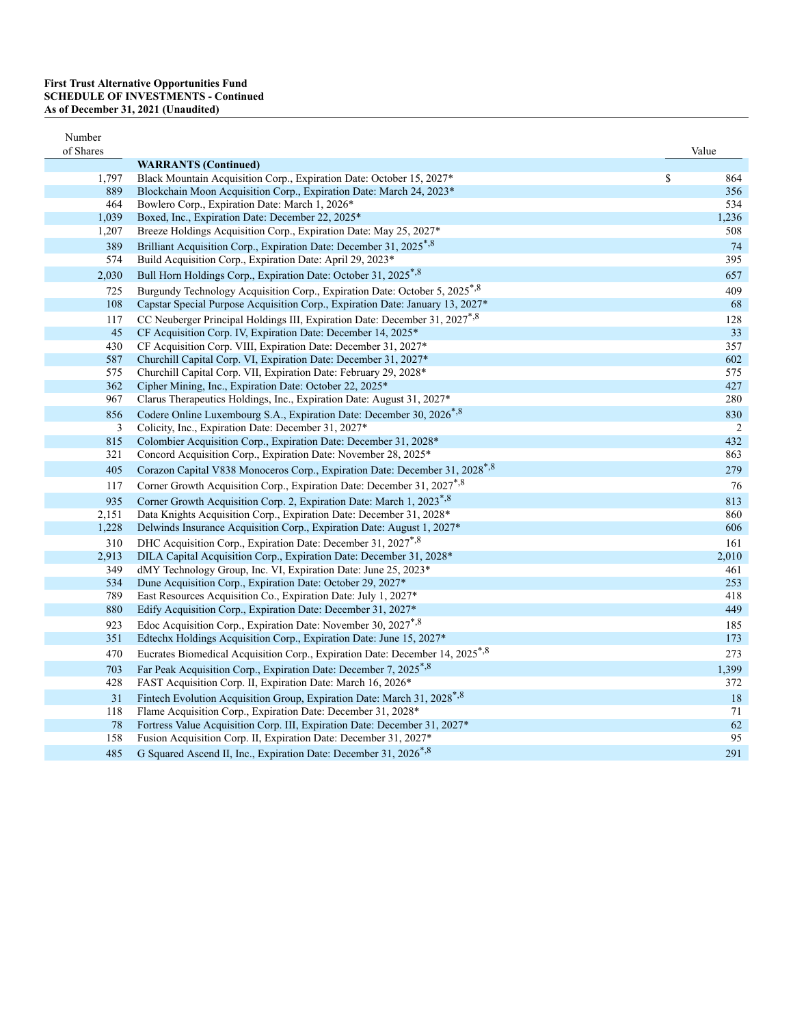| Number     |                                                                                                     |            |
|------------|-----------------------------------------------------------------------------------------------------|------------|
| of Shares  |                                                                                                     | Value      |
| 1,797      | <b>WARRANTS</b> (Continued)<br>Black Mountain Acquisition Corp., Expiration Date: October 15, 2027* | \$<br>864  |
| 889        | Blockchain Moon Acquisition Corp., Expiration Date: March 24, 2023*                                 | 356        |
| 464        | Bowlero Corp., Expiration Date: March 1, 2026*                                                      | 534        |
| 1,039      | Boxed, Inc., Expiration Date: December 22, 2025*                                                    | 1,236      |
| 1,207      | Breeze Holdings Acquisition Corp., Expiration Date: May 25, 2027*                                   | 508        |
| 389        | Brilliant Acquisition Corp., Expiration Date: December 31, 2025 <sup>*,8</sup>                      | 74         |
| 574        | Build Acquisition Corp., Expiration Date: April 29, 2023*                                           | 395        |
| 2,030      | Bull Horn Holdings Corp., Expiration Date: October 31, 2025*,8                                      | 657        |
| 725        | Burgundy Technology Acquisition Corp., Expiration Date: October 5, 2025 <sup>*,8</sup>              | 409        |
| 108        | Capstar Special Purpose Acquisition Corp., Expiration Date: January 13, 2027*                       | 68         |
| 117        | CC Neuberger Principal Holdings III, Expiration Date: December 31, 2027 <sup>*,8</sup>              | 128        |
| 45         | CF Acquisition Corp. IV, Expiration Date: December 14, 2025*                                        | 33         |
| 430        | CF Acquisition Corp. VIII, Expiration Date: December 31, 2027*                                      | 357        |
| 587        | Churchill Capital Corp. VI, Expiration Date: December 31, 2027*                                     | 602        |
| 575        | Churchill Capital Corp. VII, Expiration Date: February 29, 2028*                                    | 575        |
| 362        | Cipher Mining, Inc., Expiration Date: October 22, 2025*                                             | 427        |
| 967        | Clarus Therapeutics Holdings, Inc., Expiration Date: August 31, 2027*                               | 280        |
| 856        | Codere Online Luxembourg S.A., Expiration Date: December 30, 2026 <sup>*,8</sup>                    | 830        |
| 3          | Colicity, Inc., Expiration Date: December 31, 2027*                                                 | 2          |
| 815        | Colombier Acquisition Corp., Expiration Date: December 31, 2028*                                    | 432        |
| 321        | Concord Acquisition Corp., Expiration Date: November 28, 2025*                                      | 863        |
| 405        | Corazon Capital V838 Monoceros Corp., Expiration Date: December 31, 2028 <sup>*,8</sup>             | 279        |
| 117        | Corner Growth Acquisition Corp., Expiration Date: December 31, 2027 <sup>*,8</sup>                  | 76         |
| 935        | Corner Growth Acquisition Corp. 2, Expiration Date: March 1, 2023*,8                                | 813        |
| 2,151      | Data Knights Acquisition Corp., Expiration Date: December 31, 2028*                                 | 860        |
| 1,228      | Delwinds Insurance Acquisition Corp., Expiration Date: August 1, 2027*                              | 606        |
| 310        | DHC Acquisition Corp., Expiration Date: December 31, 2027 <sup>*,8</sup>                            | 161        |
| 2,913      | DILA Capital Acquisition Corp., Expiration Date: December 31, 2028*                                 | 2,010      |
| 349        | dMY Technology Group, Inc. VI, Expiration Date: June 25, 2023*                                      | 461        |
| 534        | Dune Acquisition Corp., Expiration Date: October 29, 2027*                                          | 253        |
| 789        | East Resources Acquisition Co., Expiration Date: July 1, 2027*                                      | 418        |
| 880        | Edify Acquisition Corp., Expiration Date: December 31, 2027*                                        | 449        |
| 923<br>351 | Edoc Acquisition Corp., Expiration Date: November 30, 2027*,8                                       | 185<br>173 |
|            | Edtechx Holdings Acquisition Corp., Expiration Date: June 15, 2027*                                 |            |
| 470        | Eucrates Biomedical Acquisition Corp., Expiration Date: December 14, 2025 <sup>*,8</sup>            | 273        |
| 703        | Far Peak Acquisition Corp., Expiration Date: December 7, 2025*,8                                    | 1,399      |
| 428        | FAST Acquisition Corp. II, Expiration Date: March 16, 2026*                                         | 372        |
| 31         | Fintech Evolution Acquisition Group, Expiration Date: March 31, 2028*,8                             | 18         |
| 118        | Flame Acquisition Corp., Expiration Date: December 31, 2028*                                        | 71         |
| 78         | Fortress Value Acquisition Corp. III, Expiration Date: December 31, 2027*                           | 62         |
| 158        | Fusion Acquisition Corp. II, Expiration Date: December 31, 2027*                                    | 95         |
| 485        | G Squared Ascend II, Inc., Expiration Date: December 31, 2026 <sup>*,8</sup>                        | 291        |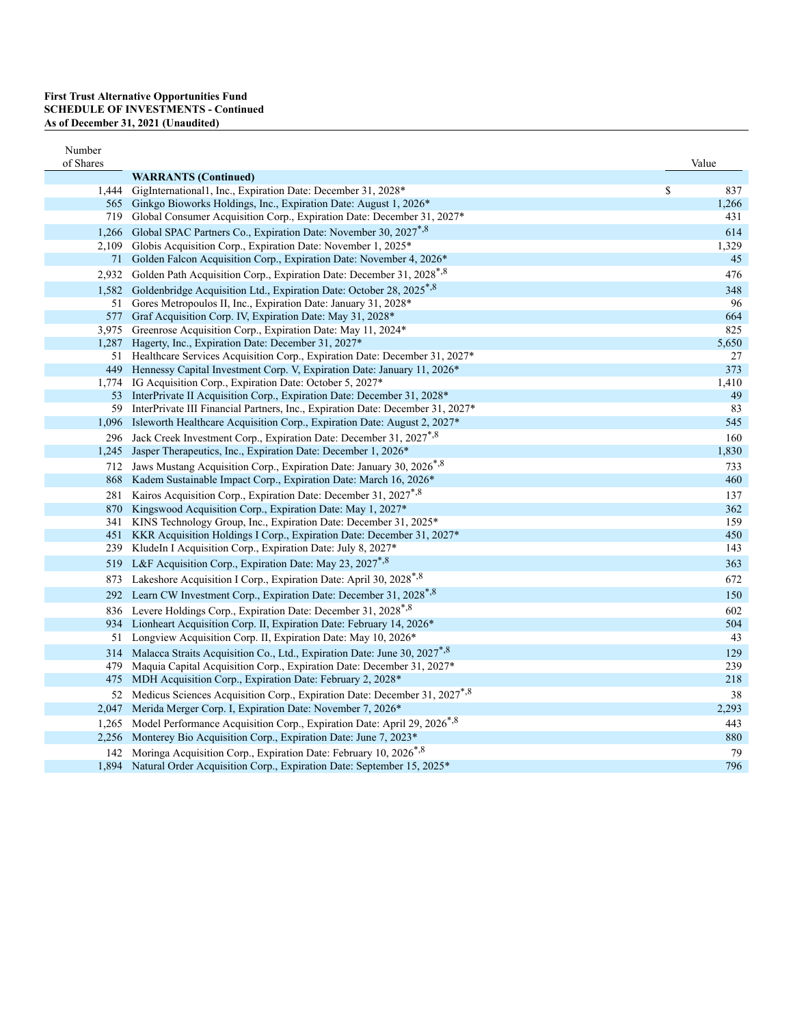| Number    |                                                                                            |           |
|-----------|--------------------------------------------------------------------------------------------|-----------|
| of Shares | <b>WARRANTS</b> (Continued)                                                                | Value     |
|           | 1,444 GigInternational1, Inc., Expiration Date: December 31, 2028*                         | \$<br>837 |
|           | 565 Ginkgo Bioworks Holdings, Inc., Expiration Date: August 1, 2026 <sup>*</sup>           | 1,266     |
|           | 719 Global Consumer Acquisition Corp., Expiration Date: December 31, 2027*                 | 431       |
|           | 1,266 Global SPAC Partners Co., Expiration Date: November 30, 2027 <sup>*,8</sup>          | 614       |
|           | 2,109 Globis Acquisition Corp., Expiration Date: November 1, 2025 <sup>*</sup>             | 1,329     |
|           | 71 Golden Falcon Acquisition Corp., Expiration Date: November 4, 2026*                     | 45        |
|           | 2,932 Golden Path Acquisition Corp., Expiration Date: December 31, 2028 <sup>*,8</sup>     | 476       |
|           | 1,582 Goldenbridge Acquisition Ltd., Expiration Date: October 28, 2025 <sup>*,8</sup>      | 348       |
|           | 51 Gores Metropoulos II, Inc., Expiration Date: January 31, 2028*                          | 96        |
|           | 577 Graf Acquisition Corp. IV, Expiration Date: May 31, 2028*                              | 664       |
|           | 3,975 Greenrose Acquisition Corp., Expiration Date: May 11, 2024*                          | 825       |
|           | 1,287 Hagerty, Inc., Expiration Date: December 31, 2027*                                   | 5,650     |
|           | 51 Healthcare Services Acquisition Corp., Expiration Date: December 31, 2027*              | 27        |
|           | 449 Hennessy Capital Investment Corp. V, Expiration Date: January 11, 2026 <sup>*</sup>    | 373       |
|           | 1,774 IG Acquisition Corp., Expiration Date: October 5, 2027*                              | 1,410     |
|           | 53 InterPrivate II Acquisition Corp., Expiration Date: December 31, 2028*                  | 49        |
|           | 59 InterPrivate III Financial Partners, Inc., Expiration Date: December 31, 2027*          | 83        |
|           | 1,096 Isleworth Healthcare Acquisition Corp., Expiration Date: August 2, 2027 <sup>*</sup> | 545       |
|           | 296 Jack Creek Investment Corp., Expiration Date: December 31, 2027 <sup>*,8</sup>         | 160       |
|           | 1,245 Jasper Therapeutics, Inc., Expiration Date: December 1, 2026*                        | 1,830     |
|           | 712 Jaws Mustang Acquisition Corp., Expiration Date: January 30, 2026 <sup>*,8</sup>       | 733       |
|           | 868 Kadem Sustainable Impact Corp., Expiration Date: March 16, 2026*                       | 460       |
|           | 281 Kairos Acquisition Corp., Expiration Date: December 31, 2027 <sup>*,8</sup>            | 137       |
|           | 870 Kingswood Acquisition Corp., Expiration Date: May 1, 2027*                             | 362       |
|           | 341 KINS Technology Group, Inc., Expiration Date: December 31, 2025*                       | 159       |
|           | 451 KKR Acquisition Holdings I Corp., Expiration Date: December 31, 2027*                  | 450       |
| 239       | KludeIn I Acquisition Corp., Expiration Date: July 8, 2027*                                | 143       |
|           | 519 L&F Acquisition Corp., Expiration Date: May 23, 2027 <sup>*,8</sup>                    | 363       |
|           | 873 Lakeshore Acquisition I Corp., Expiration Date: April 30, 2028 <sup>*,8</sup>          | 672       |
|           | 292 Learn CW Investment Corp., Expiration Date: December 31, 2028 <sup>*,8</sup>           | 150       |
|           | 836 Levere Holdings Corp., Expiration Date: December 31, 2028 <sup>*,8</sup>               | 602       |
|           | 934 Lionheart Acquisition Corp. II, Expiration Date: February 14, 2026*                    | 504       |
| 51        | Longview Acquisition Corp. II, Expiration Date: May 10, 2026*                              | 43        |
|           | 314 Malacca Straits Acquisition Co., Ltd., Expiration Date: June 30, 2027*,8               | 129       |
| 479       | Maquia Capital Acquisition Corp., Expiration Date: December 31, 2027*                      | 239       |
|           | 475 MDH Acquisition Corp., Expiration Date: February 2, 2028*                              | 218       |
|           | 52 Medicus Sciences Acquisition Corp., Expiration Date: December 31, 2027 <sup>*,8</sup>   | 38        |
|           | 2,047 Merida Merger Corp. I, Expiration Date: November 7, 2026 <sup>*</sup>                | 2,293     |
|           | 1,265 Model Performance Acquisition Corp., Expiration Date: April 29, 2026 <sup>*,8</sup>  | 443       |
|           | 2,256 Monterey Bio Acquisition Corp., Expiration Date: June 7, 2023*                       | 880       |
|           | 142 Moringa Acquisition Corp., Expiration Date: February 10, 2026 <sup>*,8</sup>           | 79        |
|           | 1,894 Natural Order Acquisition Corp., Expiration Date: September 15, 2025*                | 796       |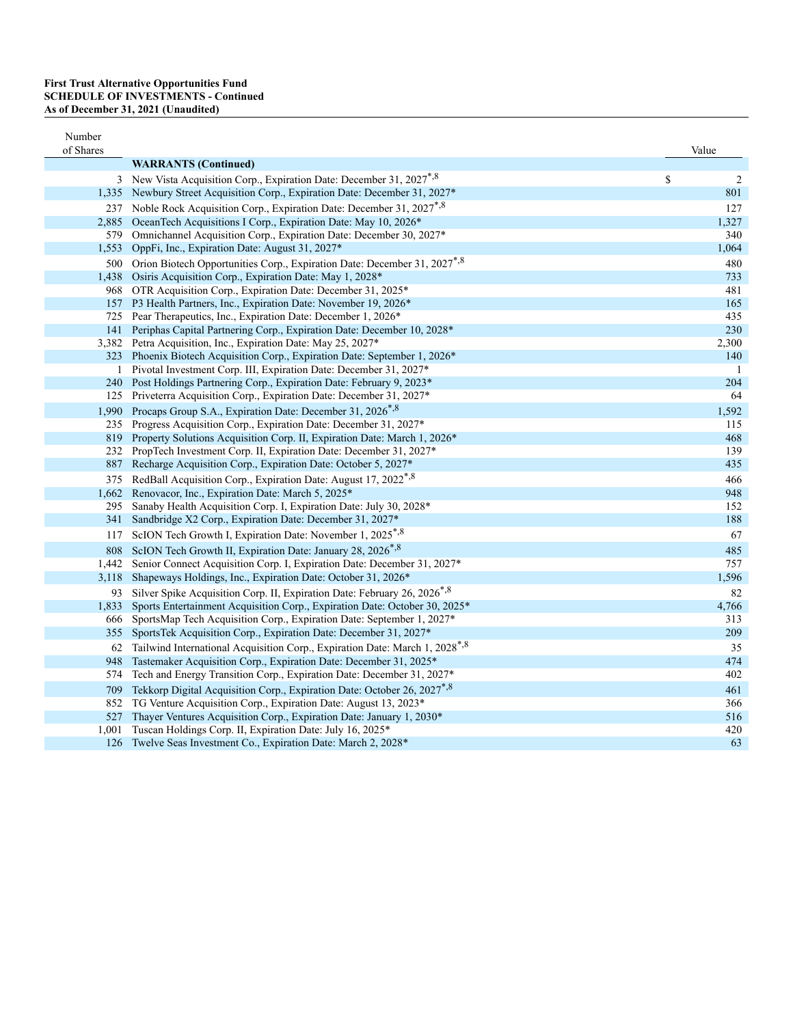| Number<br>of Shares |                                                                                          | Value |                |
|---------------------|------------------------------------------------------------------------------------------|-------|----------------|
|                     | <b>WARRANTS</b> (Continued)                                                              |       |                |
|                     | 3 New Vista Acquisition Corp., Expiration Date: December 31, 2027 <sup>*,8</sup>         | \$    | $\overline{c}$ |
|                     | 1,335 Newbury Street Acquisition Corp., Expiration Date: December 31, 2027*              |       | 801            |
| 237                 | Noble Rock Acquisition Corp., Expiration Date: December 31, 2027 <sup>*,8</sup>          |       | 127            |
|                     | 2,885 OceanTech Acquisitions I Corp., Expiration Date: May 10, 2026*                     |       | 1,327          |
|                     | 579 Omnichannel Acquisition Corp., Expiration Date: December 30, 2027*                   |       | 340            |
| 1,553               | OppFi, Inc., Expiration Date: August 31, 2027*                                           |       | 1,064          |
|                     | 500 Orion Biotech Opportunities Corp., Expiration Date: December 31, 2027 <sup>*,8</sup> |       | 480            |
|                     | 1,438 Osiris Acquisition Corp., Expiration Date: May 1, 2028*                            |       | 733            |
|                     | 968 OTR Acquisition Corp., Expiration Date: December 31, 2025*                           |       | 481            |
|                     | 157 P3 Health Partners, Inc., Expiration Date: November 19, 2026*                        |       | 165            |
|                     | 725 Pear Therapeutics, Inc., Expiration Date: December 1, 2026*                          |       | 435            |
|                     | 141 Periphas Capital Partnering Corp., Expiration Date: December 10, 2028*               |       | 230            |
|                     | 3,382 Petra Acquisition, Inc., Expiration Date: May 25, 2027*                            |       | 2,300          |
|                     | 323 Phoenix Biotech Acquisition Corp., Expiration Date: September 1, 2026*               |       | 140            |
| $\mathbf{1}$        | Pivotal Investment Corp. III, Expiration Date: December 31, 2027*                        |       | -1             |
|                     | 240 Post Holdings Partnering Corp., Expiration Date: February 9, 2023*                   |       | 204            |
|                     | 125 Priveterra Acquisition Corp., Expiration Date: December 31, 2027*                    |       | 64             |
|                     | 1,990 Procaps Group S.A., Expiration Date: December 31, 2026 <sup>*,8</sup>              |       | 1,592          |
|                     | 235 Progress Acquisition Corp., Expiration Date: December 31, 2027*                      |       | 115            |
|                     | 819 Property Solutions Acquisition Corp. II, Expiration Date: March 1, 2026*             |       | 468            |
|                     | 232 PropTech Investment Corp. II, Expiration Date: December 31, 2027*                    |       | 139            |
|                     | 887 Recharge Acquisition Corp., Expiration Date: October 5, 2027*                        |       | 435            |
|                     | 375 RedBall Acquisition Corp., Expiration Date: August 17, 2022 <sup>*,8</sup>           |       | 466            |
|                     | 1,662 Renovacor, Inc., Expiration Date: March 5, 2025*                                   |       | 948            |
| 295                 | Sanaby Health Acquisition Corp. I, Expiration Date: July 30, 2028*                       |       | 152            |
| 341                 | Sandbridge X2 Corp., Expiration Date: December 31, 2027*                                 |       | 188            |
| 117                 | ScION Tech Growth I, Expiration Date: November 1, 2025 <sup>*,8</sup>                    |       | 67             |
| 808                 | ScION Tech Growth II, Expiration Date: January 28, 2026*,8                               |       | 485            |
| 1,442               | Senior Connect Acquisition Corp. I, Expiration Date: December 31, 2027*                  |       | 757            |
| 3,118               | Shapeways Holdings, Inc., Expiration Date: October 31, 2026*                             |       | 1,596          |
| 93                  | Silver Spike Acquisition Corp. II, Expiration Date: February 26, 2026 <sup>*,8</sup>     |       | 82             |
| 1,833               | Sports Entertainment Acquisition Corp., Expiration Date: October 30, 2025*               |       | 4,766          |
| 666                 | SportsMap Tech Acquisition Corp., Expiration Date: September 1, 2027*                    |       | 313            |
|                     | 355 SportsTek Acquisition Corp., Expiration Date: December 31, 2027*                     |       | 209            |
| 62                  | Tailwind International Acquisition Corp., Expiration Date: March 1, 2028*,8              |       | 35             |
| 948                 | Tastemaker Acquisition Corp., Expiration Date: December 31, 2025*                        |       | 474            |
| 574                 | Tech and Energy Transition Corp., Expiration Date: December 31, 2027*                    |       | 402            |
| 709                 | Tekkorp Digital Acquisition Corp., Expiration Date: October 26, 2027 <sup>*,8</sup>      |       | 461            |
|                     | 852 TG Venture Acquisition Corp., Expiration Date: August 13, 2023*                      |       | 366            |
| 527                 | Thayer Ventures Acquisition Corp., Expiration Date: January 1, 2030*                     |       | 516            |
| 1,001               | Tuscan Holdings Corp. II, Expiration Date: July 16, 2025*                                |       | 420            |
| 126                 | Twelve Seas Investment Co., Expiration Date: March 2, 2028*                              |       | 63             |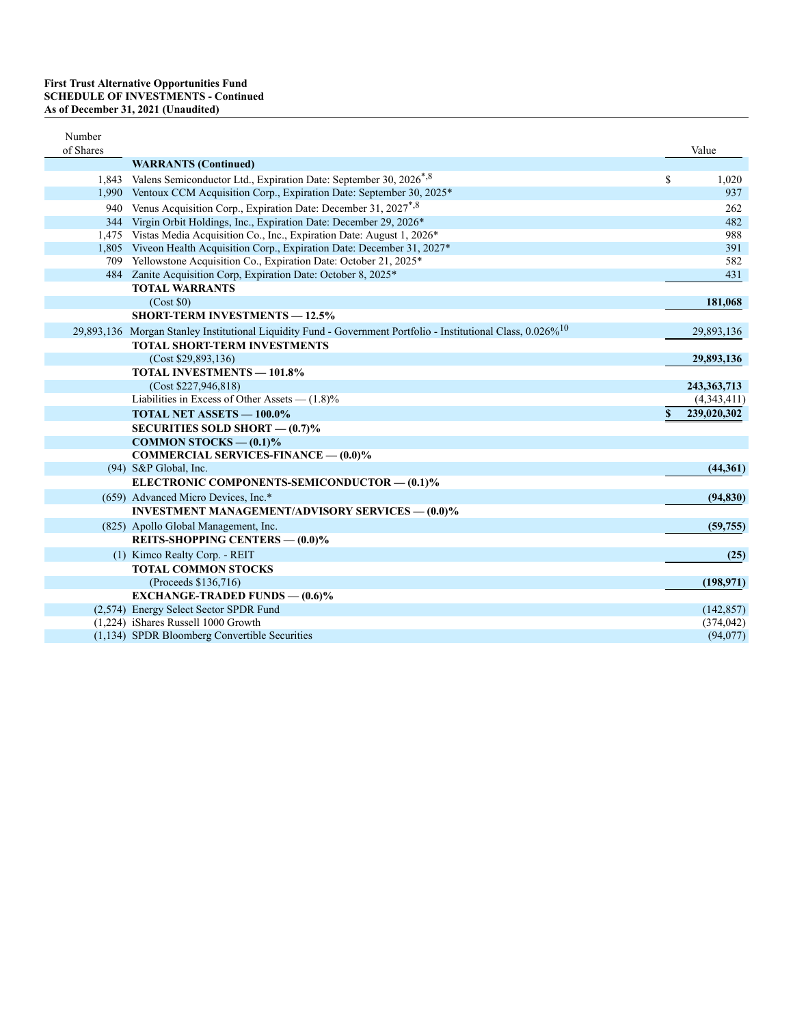| Number<br>of Shares |                                                                                                                           |    | Value         |
|---------------------|---------------------------------------------------------------------------------------------------------------------------|----|---------------|
|                     | <b>WARRANTS</b> (Continued)                                                                                               |    |               |
| 1.843               | Valens Semiconductor Ltd., Expiration Date: September 30, 2026 <sup>*,8</sup>                                             | \$ | 1,020         |
|                     | 1,990 Ventoux CCM Acquisition Corp., Expiration Date: September 30, 2025*                                                 |    | 937           |
|                     | 940 Venus Acquisition Corp., Expiration Date: December 31, 2027 <sup>*,8</sup>                                            |    | 262           |
|                     | 344 Virgin Orbit Holdings, Inc., Expiration Date: December 29, 2026*                                                      |    | 482           |
|                     | 1,475 Vistas Media Acquisition Co., Inc., Expiration Date: August 1, 2026*                                                |    | 988           |
|                     | 1,805 Viveon Health Acquisition Corp., Expiration Date: December 31, 2027*                                                |    | 391           |
|                     | 709 Yellowstone Acquisition Co., Expiration Date: October 21, 2025*                                                       |    | 582           |
|                     | 484 Zanite Acquisition Corp, Expiration Date: October 8, 2025*                                                            |    | 431           |
|                     | <b>TOTAL WARRANTS</b>                                                                                                     |    |               |
|                     | (Cost \$0)                                                                                                                |    | 181,068       |
|                     | <b>SHORT-TERM INVESTMENTS - 12.5%</b>                                                                                     |    |               |
|                     | 29,893,136 Morgan Stanley Institutional Liquidity Fund - Government Portfolio - Institutional Class, 0.026% <sup>10</sup> |    | 29,893,136    |
|                     | <b>TOTAL SHORT-TERM INVESTMENTS</b>                                                                                       |    |               |
|                     | (Cost \$29,893,136)                                                                                                       |    | 29,893,136    |
|                     | <b>TOTAL INVESTMENTS - 101.8%</b>                                                                                         |    |               |
|                     | (Cost \$227,946,818)                                                                                                      |    | 243, 363, 713 |
|                     | Liabilities in Excess of Other Assets $- (1.8)$ %                                                                         |    | (4,343,411)   |
|                     | <b>TOTAL NET ASSETS - 100.0%</b>                                                                                          | S  | 239,020,302   |
|                     | SECURITIES SOLD SHORT $-$ (0.7)%                                                                                          |    |               |
|                     | COMMON STOCKS $-$ (0.1)%                                                                                                  |    |               |
|                     | <b>COMMERCIAL SERVICES-FINANCE - (0.0)%</b>                                                                               |    |               |
|                     | (94) S&P Global, Inc.                                                                                                     |    | (44,361)      |
|                     | ELECTRONIC COMPONENTS-SEMICONDUCTOR - (0.1)%                                                                              |    |               |
|                     | (659) Advanced Micro Devices, Inc.*                                                                                       |    | (94, 830)     |
|                     | <b>INVESTMENT MANAGEMENT/ADVISORY SERVICES — (0.0)%</b>                                                                   |    |               |
|                     | (825) Apollo Global Management, Inc.                                                                                      |    | (59, 755)     |
|                     | REITS-SHOPPING CENTERS - (0.0)%                                                                                           |    |               |
|                     | (1) Kimco Realty Corp. - REIT                                                                                             |    | (25)          |
|                     | <b>TOTAL COMMON STOCKS</b>                                                                                                |    |               |
|                     | (Proceeds \$136,716)                                                                                                      |    | (198, 971)    |
|                     | <b>EXCHANGE-TRADED FUNDS — <math>(0.6)\%</math></b>                                                                       |    |               |
|                     | (2,574) Energy Select Sector SPDR Fund                                                                                    |    | (142, 857)    |
|                     | (1,224) iShares Russell 1000 Growth                                                                                       |    | (374, 042)    |
|                     | (1,134) SPDR Bloomberg Convertible Securities                                                                             |    | (94,077)      |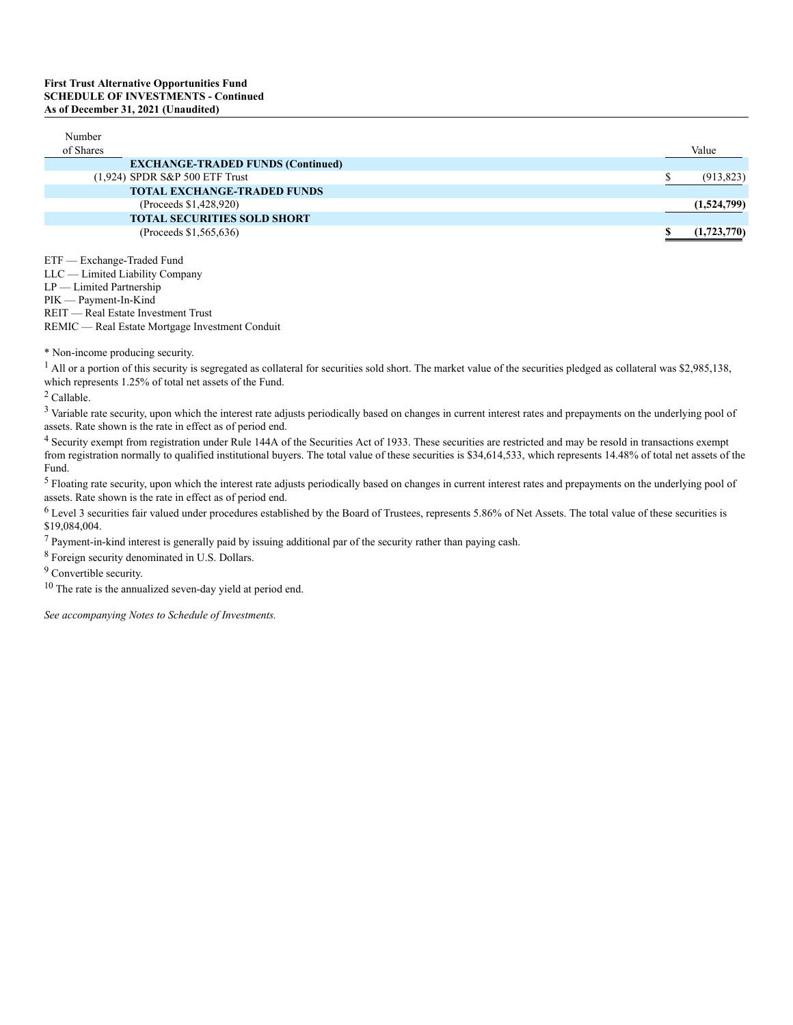| Number<br>of Shares |                                          | Value       |
|---------------------|------------------------------------------|-------------|
|                     | <b>EXCHANGE-TRADED FUNDS (Continued)</b> |             |
|                     | (1,924) SPDR S&P 500 ETF Trust           | (913, 823)  |
|                     | <b>TOTAL EXCHANGE-TRADED FUNDS</b>       |             |
|                     | (Proceeds \$1,428,920)                   | (1,524,799) |
|                     | <b>TOTAL SECURITIES SOLD SHORT</b>       |             |
|                     | (Proceeds \$1,565,636)                   | (1,723,770) |
|                     |                                          |             |

ETF — Exchange-Traded Fund LLC — Limited Liability Company LP — Limited Partnership PIK — Payment-In-Kind REIT — Real Estate Investment Trust REMIC — Real Estate Mortgage Investment Conduit

\* Non-income producing security.

<sup>1</sup> All or a portion of this security is segregated as collateral for securities sold short. The market value of the securities pledged as collateral was \$2,985,138, which represents 1.25% of total net assets of the Fund.

<sup>2</sup> Callable.

<sup>3</sup> Variable rate security, upon which the interest rate adjusts periodically based on changes in current interest rates and prepayments on the underlying pool of assets. Rate shown is the rate in effect as of period end.

<sup>4</sup> Security exempt from registration under Rule 144A of the Securities Act of 1933. These securities are restricted and may be resold in transactions exempt from registration normally to qualified institutional buyers. The total value of these securities is \$34,614,533, which represents 14.48% of total net assets of the Fund.

<sup>5</sup> Floating rate security, upon which the interest rate adjusts periodically based on changes in current interest rates and prepayments on the underlying pool of assets. Rate shown is the rate in effect as of period end.

 $6$  Level 3 securities fair valued under procedures established by the Board of Trustees, represents 5.86% of Net Assets. The total value of these securities is \$19,084,004.

 $7$  Payment-in-kind interest is generally paid by issuing additional par of the security rather than paying cash.

<sup>8</sup> Foreign security denominated in U.S. Dollars.

<sup>9</sup> Convertible security.

<sup>10</sup> The rate is the annualized seven-day yield at period end.

*See accompanying Notes to Schedule of Investments.*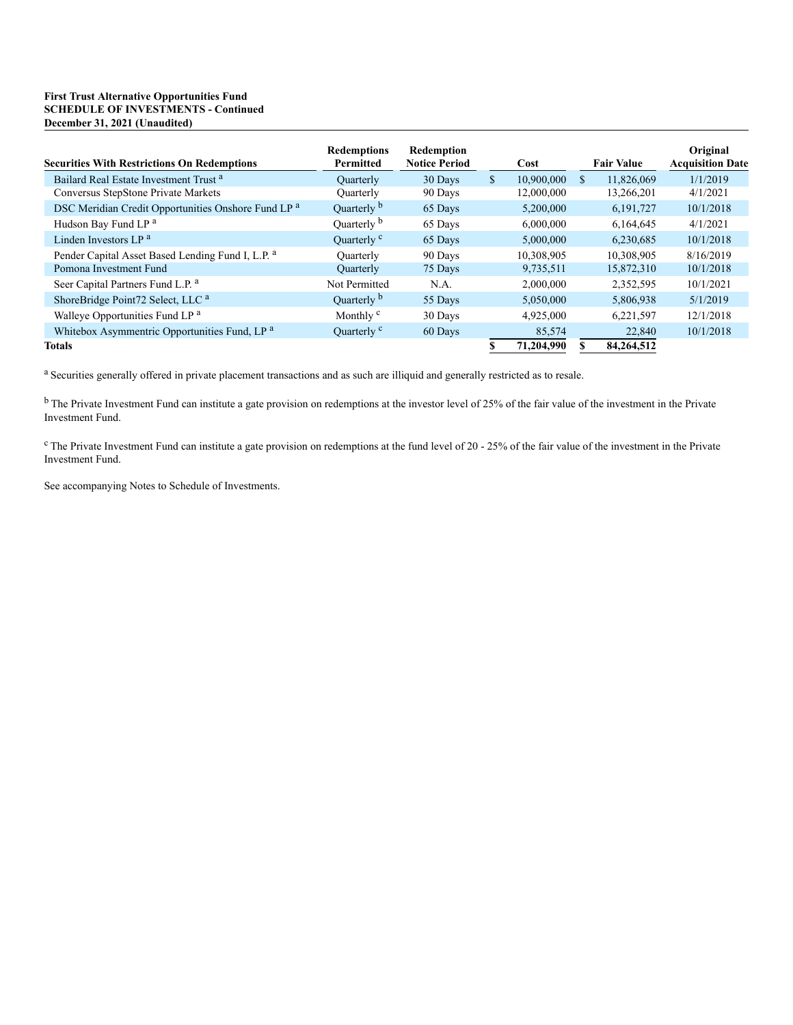## **First Trust Alternative Opportunities Fund SCHEDULE OF INVESTMENTS - Continued December 31, 2021 (Unaudited)**

| <b>Securities With Restrictions On Redemptions</b>           | <b>Redemptions</b><br><b>Permitted</b> | Redemption<br><b>Notice Period</b> |               | Cost       |              | <b>Fair Value</b> | Original<br><b>Acquisition Date</b> |
|--------------------------------------------------------------|----------------------------------------|------------------------------------|---------------|------------|--------------|-------------------|-------------------------------------|
| Bailard Real Estate Investment Trust <sup>a</sup>            | <b>Quarterly</b>                       | 30 Days                            | <sup>\$</sup> | 10,900,000 | <sup>S</sup> | 11,826,069        | 1/1/2019                            |
| Conversus StepStone Private Markets                          | Ouarterly                              | 90 Days                            |               | 12,000,000 |              | 13,266,201        | 4/1/2021                            |
| DSC Meridian Credit Opportunities Onshore Fund LP a          | Quarterly b                            | 65 Days                            |               | 5,200,000  |              | 6,191,727         | 10/1/2018                           |
| Hudson Bay Fund LP <sup>a</sup>                              | Quarterly b                            | 65 Days                            |               | 6,000,000  |              | 6.164.645         | 4/1/2021                            |
| Linden Investors LP <sup>a</sup>                             | Ouarterly <sup>c</sup>                 | 65 Days                            |               | 5,000,000  |              | 6.230.685         | 10/1/2018                           |
| Pender Capital Asset Based Lending Fund I, L.P. <sup>a</sup> | <b>Ouarterly</b>                       | 90 Days                            |               | 10,308,905 |              | 10,308,905        | 8/16/2019                           |
| Pomona Investment Fund                                       | Quarterly                              | 75 Days                            |               | 9,735,511  |              | 15,872,310        | 10/1/2018                           |
| Seer Capital Partners Fund L.P. <sup>a</sup>                 | Not Permitted                          | N.A.                               |               | 2,000,000  |              | 2,352,595         | 10/1/2021                           |
| ShoreBridge Point72 Select, LLC <sup>a</sup>                 | Quarterly b                            | 55 Days                            |               | 5,050,000  |              | 5,806,938         | 5/1/2019                            |
| Walleye Opportunities Fund LP <sup>a</sup>                   | Monthly <sup>c</sup>                   | 30 Days                            |               | 4,925,000  |              | 6,221,597         | 12/1/2018                           |
| Whitebox Asymmentric Opportunities Fund, LP <sup>a</sup>     | Quarterly <sup>c</sup>                 | 60 Days                            |               | 85,574     |              | 22,840            | 10/1/2018                           |
| <b>Totals</b>                                                |                                        |                                    | \$            | 71,204,990 |              | 84,264,512        |                                     |

<sup>a</sup> Securities generally offered in private placement transactions and as such are illiquid and generally restricted as to resale.

<sup>b</sup> The Private Investment Fund can institute a gate provision on redemptions at the investor level of 25% of the fair value of the investment in the Private Investment Fund.

 $c$  The Private Investment Fund can institute a gate provision on redemptions at the fund level of 20 - 25% of the fair value of the investment in the Private Investment Fund.

See accompanying Notes to Schedule of Investments.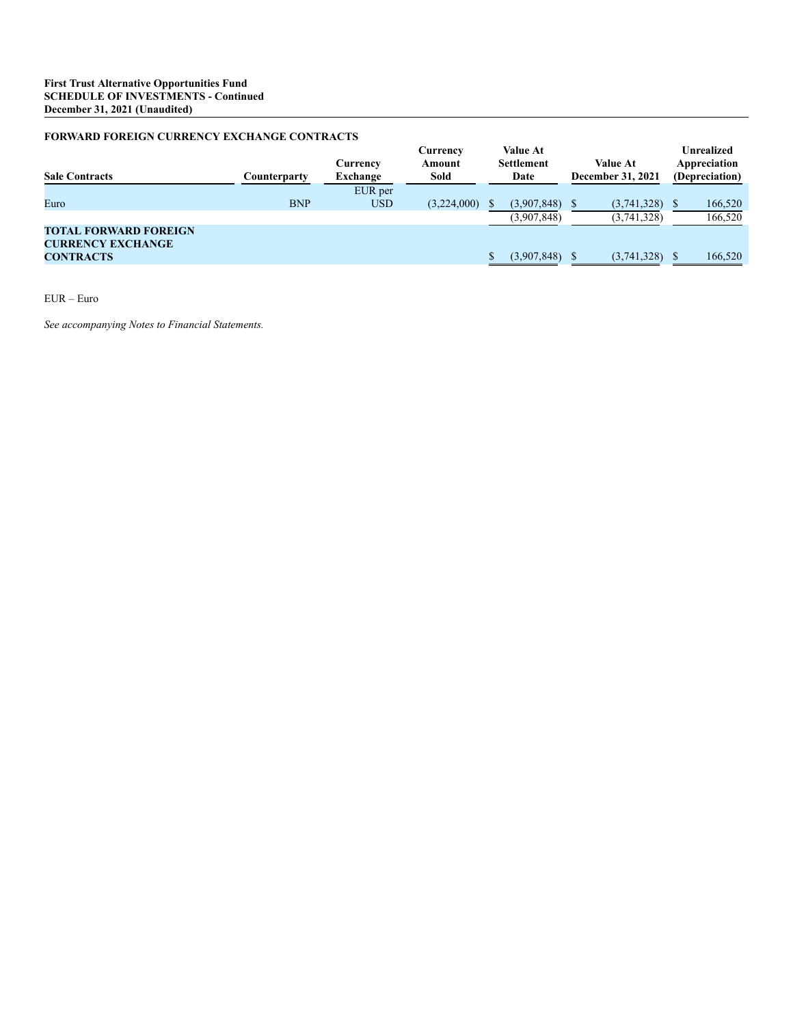## **FORWARD FOREIGN CURRENCY EXCHANGE CONTRACTS**

| <b>Sale Contracts</b>                                    | Counterparty | Currency<br>Exchange | Currency<br>Amount<br>Sold | <b>Value At</b><br><b>Settlement</b><br>Date |              | <b>Value At</b><br><b>December 31, 2021</b> |             | <b>Unrealized</b><br>Appreciation<br>(Depreciation) |         |
|----------------------------------------------------------|--------------|----------------------|----------------------------|----------------------------------------------|--------------|---------------------------------------------|-------------|-----------------------------------------------------|---------|
|                                                          |              | EUR per              |                            |                                              |              |                                             |             |                                                     |         |
| Euro                                                     | <b>BNP</b>   | <b>USD</b>           | (3,224,000)                |                                              | (3.907, 848) |                                             | (3,741,328) |                                                     | 166,520 |
|                                                          |              |                      |                            |                                              | (3,907,848)  |                                             | (3,741,328) |                                                     | 166,520 |
| <b>TOTAL FORWARD FOREIGN</b><br><b>CURRENCY EXCHANGE</b> |              |                      |                            |                                              |              |                                             |             |                                                     |         |
| <b>CONTRACTS</b>                                         |              |                      |                            |                                              | (3,907,848)  |                                             | (3,741,328) |                                                     | 166,520 |

EUR – Euro

*See accompanying Notes to Financial Statements.*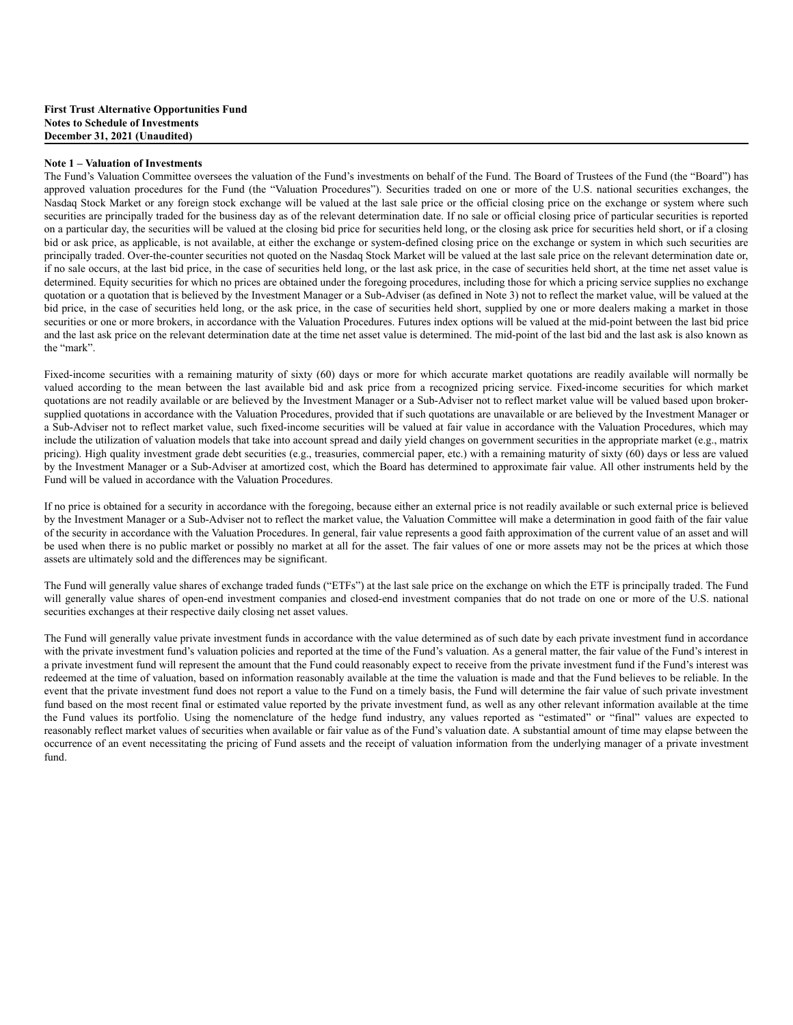#### **Note 1 – Valuation of Investments**

The Fund's Valuation Committee oversees the valuation of the Fund's investments on behalf of the Fund. The Board of Trustees of the Fund (the "Board") has approved valuation procedures for the Fund (the "Valuation Procedures"). Securities traded on one or more of the U.S. national securities exchanges, the Nasdaq Stock Market or any foreign stock exchange will be valued at the last sale price or the official closing price on the exchange or system where such securities are principally traded for the business day as of the relevant determination date. If no sale or official closing price of particular securities is reported on a particular day, the securities will be valued at the closing bid price for securities held long, or the closing ask price for securities held short, or if a closing bid or ask price, as applicable, is not available, at either the exchange or system-defined closing price on the exchange or system in which such securities are principally traded. Over-the-counter securities not quoted on the Nasdaq Stock Market will be valued at the last sale price on the relevant determination date or, if no sale occurs, at the last bid price, in the case of securities held long, or the last ask price, in the case of securities held short, at the time net asset value is determined. Equity securities for which no prices are obtained under the foregoing procedures, including those for which a pricing service supplies no exchange quotation or a quotation that is believed by the Investment Manager or a Sub-Adviser (as defined in Note 3) not to reflect the market value, will be valued at the bid price, in the case of securities held long, or the ask price, in the case of securities held short, supplied by one or more dealers making a market in those securities or one or more brokers, in accordance with the Valuation Procedures. Futures index options will be valued at the mid-point between the last bid price and the last ask price on the relevant determination date at the time net asset value is determined. The mid-point of the last bid and the last ask is also known as the "mark".

Fixed-income securities with a remaining maturity of sixty (60) days or more for which accurate market quotations are readily available will normally be valued according to the mean between the last available bid and ask price from a recognized pricing service. Fixed-income securities for which market quotations are not readily available or are believed by the Investment Manager or a Sub-Adviser not to reflect market value will be valued based upon brokersupplied quotations in accordance with the Valuation Procedures, provided that if such quotations are unavailable or are believed by the Investment Manager or a Sub-Adviser not to reflect market value, such fixed-income securities will be valued at fair value in accordance with the Valuation Procedures, which may include the utilization of valuation models that take into account spread and daily yield changes on government securities in the appropriate market (e.g., matrix pricing). High quality investment grade debt securities (e.g., treasuries, commercial paper, etc.) with a remaining maturity of sixty (60) days or less are valued by the Investment Manager or a Sub-Adviser at amortized cost, which the Board has determined to approximate fair value. All other instruments held by the Fund will be valued in accordance with the Valuation Procedures.

If no price is obtained for a security in accordance with the foregoing, because either an external price is not readily available or such external price is believed by the Investment Manager or a Sub-Adviser not to reflect the market value, the Valuation Committee will make a determination in good faith of the fair value of the security in accordance with the Valuation Procedures. In general, fair value represents a good faith approximation of the current value of an asset and will be used when there is no public market or possibly no market at all for the asset. The fair values of one or more assets may not be the prices at which those assets are ultimately sold and the differences may be significant.

The Fund will generally value shares of exchange traded funds ("ETFs") at the last sale price on the exchange on which the ETF is principally traded. The Fund will generally value shares of open-end investment companies and closed-end investment companies that do not trade on one or more of the U.S. national securities exchanges at their respective daily closing net asset values.

The Fund will generally value private investment funds in accordance with the value determined as of such date by each private investment fund in accordance with the private investment fund's valuation policies and reported at the time of the Fund's valuation. As a general matter, the fair value of the Fund's interest in a private investment fund will represent the amount that the Fund could reasonably expect to receive from the private investment fund if the Fund's interest was redeemed at the time of valuation, based on information reasonably available at the time the valuation is made and that the Fund believes to be reliable. In the event that the private investment fund does not report a value to the Fund on a timely basis, the Fund will determine the fair value of such private investment fund based on the most recent final or estimated value reported by the private investment fund, as well as any other relevant information available at the time the Fund values its portfolio. Using the nomenclature of the hedge fund industry, any values reported as "estimated" or "final" values are expected to reasonably reflect market values of securities when available or fair value as of the Fund's valuation date. A substantial amount of time may elapse between the occurrence of an event necessitating the pricing of Fund assets and the receipt of valuation information from the underlying manager of a private investment fund.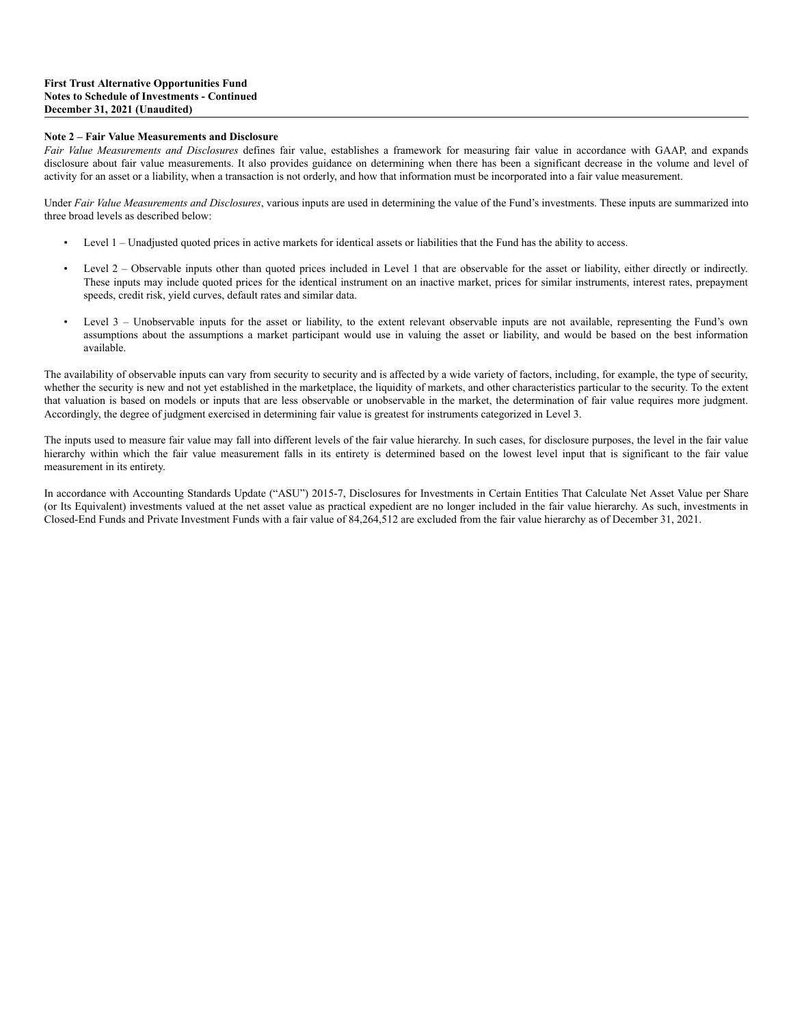### **Note 2 – Fair Value Measurements and Disclosure**

*Fair Value Measurements and Disclosures* defines fair value, establishes a framework for measuring fair value in accordance with GAAP, and expands disclosure about fair value measurements. It also provides guidance on determining when there has been a significant decrease in the volume and level of activity for an asset or a liability, when a transaction is not orderly, and how that information must be incorporated into a fair value measurement.

Under *Fair Value Measurements and Disclosures*, various inputs are used in determining the value of the Fund's investments. These inputs are summarized into three broad levels as described below:

- Level 1 Unadjusted quoted prices in active markets for identical assets or liabilities that the Fund has the ability to access.
- Level 2 Observable inputs other than quoted prices included in Level 1 that are observable for the asset or liability, either directly or indirectly. These inputs may include quoted prices for the identical instrument on an inactive market, prices for similar instruments, interest rates, prepayment speeds, credit risk, yield curves, default rates and similar data.
- Level 3 Unobservable inputs for the asset or liability, to the extent relevant observable inputs are not available, representing the Fund's own assumptions about the assumptions a market participant would use in valuing the asset or liability, and would be based on the best information available.

The availability of observable inputs can vary from security to security and is affected by a wide variety of factors, including, for example, the type of security, whether the security is new and not yet established in the marketplace, the liquidity of markets, and other characteristics particular to the security. To the extent that valuation is based on models or inputs that are less observable or unobservable in the market, the determination of fair value requires more judgment. Accordingly, the degree of judgment exercised in determining fair value is greatest for instruments categorized in Level 3.

The inputs used to measure fair value may fall into different levels of the fair value hierarchy. In such cases, for disclosure purposes, the level in the fair value hierarchy within which the fair value measurement falls in its entirety is determined based on the lowest level input that is significant to the fair value measurement in its entirety.

In accordance with Accounting Standards Update ("ASU") 2015-7, Disclosures for Investments in Certain Entities That Calculate Net Asset Value per Share (or Its Equivalent) investments valued at the net asset value as practical expedient are no longer included in the fair value hierarchy. As such, investments in Closed-End Funds and Private Investment Funds with a fair value of 84,264,512 are excluded from the fair value hierarchy as of December 31, 2021.